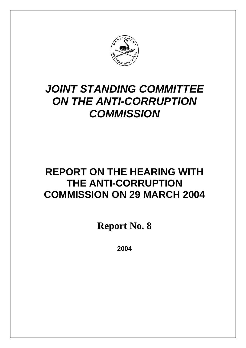

# **JOINT STANDING COMMITTEE ON THE ANTI-CORRUPTION COMMISSION**

# **REPORT ON THE HEARING WITH THE ANTI-CORRUPTION COMMISSION ON 29 MARCH 2004**

**Report No. 8**

**2004**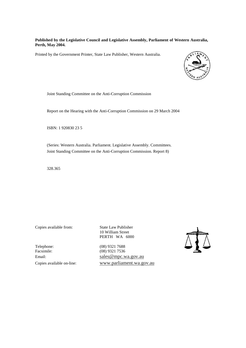#### **Published by the Legislative Council and Legislative Assembly, Parliament of Western Australia, Perth, May 2004.**

Printed by the Government Printer, State Law Publisher, Western Australia.



Joint Standing Committee on the Anti-Corruption Commission

Report on the Hearing with the Anti-Corruption Commission on 29 March 2004

ISBN: 1 920830 23 5

(Series: Western Australia. Parliament. Legislative Assembly. Committees. Joint Standing Committee on the Anti-Corruption Commission. Report 8)

328.365

Copies available from: State Law Publisher

10 William Street PERTH WA 6000

Telephone: (08) 9321 7688<br>Facsimile: (08) 9321 7536

(08) 9321 7536 Email: sales @mpc.wa.gov.au Copies available on-line: www.parliament.wa.gov.au

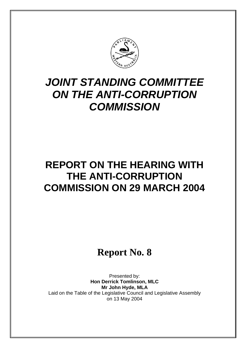

# **JOINT STANDING COMMITTEE ON THE ANTI-CORRUPTION COMMISSION**

# **REPORT ON THE HEARING WITH THE ANTI-CORRUPTION COMMISSION ON 29 MARCH 2004**

# **Report No. 8**

Presented by: **Hon Derrick Tomlinson, MLC Mr John Hyde, MLA** Laid on the Table of the Legislative Council and Legislative Assembly on 13 May 2004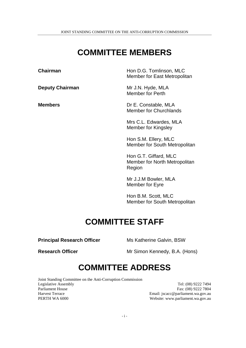JOINT STANDING COMMITTEE ON THE ANTI-CORRUPTION COMMISSION

## **COMMITTEE MEMBERS**

**Chairman Hon D.G. Tomlinson, MLC** Member for East Metropolitan **Deputy Chairman** Mr J.N. Hyde, MLA Member for Perth **Members** Dr E. Constable, MLA Member for Churchlands Mrs C.L. Edwardes, MLA Member for Kingsley Hon S.M. Ellery, MLC Member for South Metropolitan Hon G.T. Giffard, MLC

Member for North Metropolitan Region

Mr J.J.M Bowler, MLA Member for Eyre

Hon B.M. Scott, MLC Member for South Metropolitan

## **COMMITTEE STAFF**

**Principal Research Officer** Ms Katherine Galvin, BSW

**Research Officer** Mr Simon Kennedy, B.A. (Hons)

## **COMMITTEE ADDRESS**

Joint Standing Committee on the Anti-Corruption Commission Legislative Assembly Tel: (08) 9222 7494 Parliament House Fax: (08) 9222 7804 Harvest Terrace Email: jscacc@parliament.wa.gov.au<br>
PERTH WA 6000 Website: www.parliament.wa.gov.au

Website: www.parliament.wa.gov.au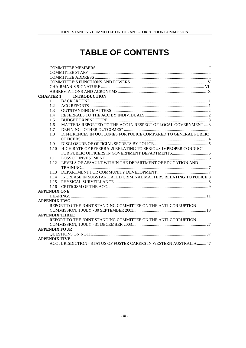## **TABLE OF CONTENTS**

| MATTERS REPORTED TO THE ACC IN RESPECT OF LOCAL GOVERNMENT  3     |
|-------------------------------------------------------------------|
|                                                                   |
| DIFFERENCES IN OUTCOMES FOR POLICE COMPARED TO GENERAL PUBLIC     |
|                                                                   |
|                                                                   |
| HIGH RATE OF REFERRALS RELATING TO SERIOUS IMPROPER CONDUCT       |
|                                                                   |
|                                                                   |
| LEVELS OF ASSAULT WITHIN THE DEPARTMENT OF EDUCATION AND          |
|                                                                   |
|                                                                   |
| INCREASE IN SUBSTANTIATED CRIMINAL MATTERS RELATING TO POLICE.8   |
|                                                                   |
|                                                                   |
|                                                                   |
|                                                                   |
|                                                                   |
| REPORT TO THE JOINT STANDING COMMITTEE ON THE ANTI-CORRUPTION     |
|                                                                   |
|                                                                   |
| REPORT TO THE JOINT STANDING COMMITTEE ON THE ANTI-CORRUPTION     |
|                                                                   |
|                                                                   |
|                                                                   |
|                                                                   |
| ACC JURISDICTION - STATUS OF FOSTER CARERS IN WESTERN AUSTRALIA47 |
|                                                                   |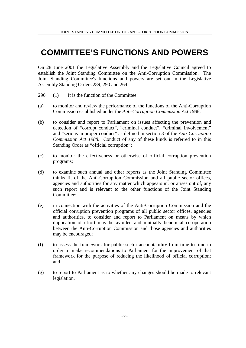## **COMMITTEE'S FUNCTIONS AND POWERS**

On 28 June 2001 the Legislative Assembly and the Legislative Council agreed to establish the Joint Standing Committee on the Anti-Corruption Commission. The Joint Standing Committee's functions and powers are set out in the Legislative Assembly Standing Orders 289, 290 and 264.

- 290 (1) It is the function of the Committee:
- (a) to monitor and review the performance of the functions of the Anti-Corruption Commission established under the *Anti-Corruption Commission Act 1988*;
- (b) to consider and report to Parliament on issues affecting the prevention and detection of "corrupt conduct", "criminal conduct", "criminal involvement" and "serious improper conduct" as defined in section 3 of the *Anti-Corruption Commission Act 1988*. Conduct of any of these kinds is referred to in this Standing Order as "official corruption";
- (c) to monitor the effectiveness or otherwise of official corruption prevention programs;
- (d) to examine such annual and other reports as the Joint Standing Committee thinks fit of the Anti-Corruption Commission and all public sector offices, agencies and authorities for any matter which appears in, or arises out of, any such report and is relevant to the other functions of the Joint Standing Committee;
- (e) in connection with the activities of the Anti-Corruption Commission and the official corruption prevention programs of all public sector offices, agencies and authorities, to consider and report to Parliament on means by which duplication of effort may be avoided and mutually beneficial co-operation between the Anti-Corruption Commission and those agencies and authorities may be encouraged;
- (f) to assess the framework for public sector accountability from time to time in order to make recommendations to Parliament for the improvement of that framework for the purpose of reducing the likelihood of official corruption; and
- (g) to report to Parliament as to whether any changes should be made to relevant legislation.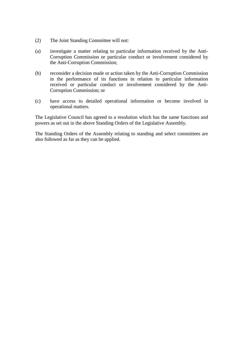- (2) The Joint Standing Committee will not:
- (a) investigate a matter relating to particular information received by the Anti-Corruption Commission or particular conduct or involvement considered by the Anti-Corruption Commission;
- (b) reconsider a decision made or action taken by the Anti-Corruption Commission in the performance of its functions in relation to particular information received or particular conduct or involvement considered by the Anti-Corruption Commission; or
- (c) have access to detailed operational information or become involved in operational matters.

The Legislative Council has agreed to a resolution which has the same functions and powers as set out in the above Standing Orders of the Legislative Assembly.

The Standing Orders of the Assembly relating to standing and select committees are also followed as far as they can be applied.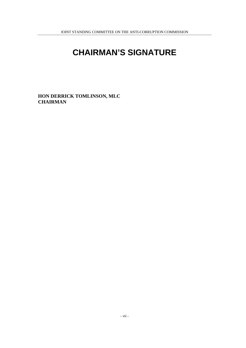## **CHAIRMAN'S SIGNATURE**

**HON DERRICK TOMLINSON, MLC CHAIRMAN**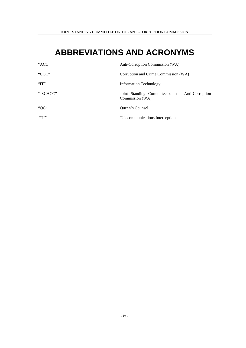## **ABBREVIATIONS AND ACRONYMS**

| "ACC"    | Anti-Corruption Commission (WA)                                    |
|----------|--------------------------------------------------------------------|
| "CCC"    | Corruption and Crime Commission (WA)                               |
| 'TT"     | <b>Information Technology</b>                                      |
| "JSCACC" | Joint Standing Committee on the Anti-Corruption<br>Commission (WA) |
| " $QC$ " | Queen's Counsel                                                    |
| $\Gamma$ | Telecommunications Interception                                    |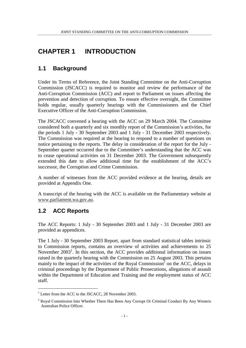## **CHAPTER 1 INTRODUCTION**

## **1.1 Background**

Under its Terms of Reference, the Joint Standing Committee on the Anti-Corruption Commission (JSCACC) is required to monitor and review the performance of the Anti-Corruption Commission (ACC) and report to Parliament on issues affecting the prevention and detection of corruption. To ensure effective oversight, the Committee holds regular, usually quarterly hearings with the Commissioners and the Chief Executive Officer of the Anti-Corruption Commission.

The JSCACC convened a hearing with the ACC on 29 March 2004. The Committee considered both a quarterly and six monthly report of the Commission's activities, for the periods 1 July - 30 September 2003 and 1 July - 31 December 2003 respectively. The Commission was required at the hearing to respond to a number of questions on notice pertaining to the reports. The delay in consideration of the report for the July - September quarter occurred due to the Committee's understanding that the ACC was to cease operational activities on 31 December 2003. The Government subsequently extended this date to allow additional time for the establishment of the ACC's successor, the Corruption and Crime Commission.

A number of witnesses from the ACC provided evidence at the hearing, details are provided at Appendix One.

A transcript of the hearing with the ACC is available on the Parliamentary website at www.parliament.wa.gov.au.

## **1.2 ACC Reports**

l

The ACC Reports: 1 July - 30 September 2003 and 1 July - 31 December 2003 are provided as appendices.

The 1 July - 30 September 2003 Report, apart from standard statistical tables intrinsic to Commission reports, contains an overview of activities and achievements to 25 November  $2003<sup>1</sup>$ . In this section, the ACC provides additional information on issues raised in the quarterly hearing with the Commission on 25 August 2003. This pertains mainly to the impact of the activities of the Royal Commission<sup>2</sup> on the ACC, delays in criminal proceedings by the Department of Public Prosecutions, allegations of assault within the Department of Education and Training and the employment status of ACC staff.

<sup>&</sup>lt;sup>1</sup> Letter from the ACC to the JSCACC, 28 November 2003.

<sup>&</sup>lt;sup>2</sup> Royal Commission Into Whether There Has Been Any Corrupt Or Criminal Conduct By Any Western Australian Police Officer.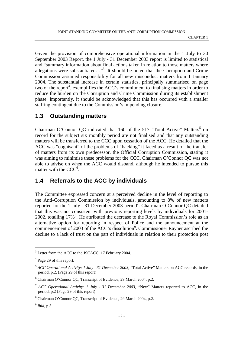Given the provision of comprehensive operational information in the 1 July to 30 September 2003 Report, the 1 July - 31 December 2003 report is limited to statistical and "summary information about final actions taken in relation to those matters where allegations were substantiated..."<sup>3</sup>. It should be noted that the Corruption and Crime Commission assumed responsibility for all new misconduct matters from 1 January 2004. The substantial increase in certain statistics, principally summarised on page two of the report<sup>4</sup>, exemplifies the ACC's commitment to finalising matters in order to reduce the burden on the Corruption and Crime Commission during its establishment phase. Importantly, it should be acknowledged that this has occurred with a smaller staffing contingent due to the Commission's impending closure.

### **1.3 Outstanding matters**

Chairman O'Connor QC indicated that  $160$  of the 517 "Total Active" Matters<sup>5</sup> on record for the subject six monthly period are not finalised and that any outstanding matters will be transferred to the CCC upon cessation of the ACC. He detailed that the ACC was "cognisant" of the problems of "backlog" it faced as a result of the transfer of matters from its own predecessor, the Official Corruption Commission, stating it was aiming to minimise these problems for the CCC. Chairman O'Connor QC was not able to advise on when the ACC would disband, although he intended to pursue this matter with the  $CCC<sup>6</sup>$ .

### **1.4 Referrals to the ACC by individuals**

The Committee expressed concern at a perceived decline in the level of reporting to the Anti-Corruption Commission by individuals, amounting to 8% of new matters reported for the 1 July - 31 December 2003 period<sup>7</sup>. Chairman O'Connor QC detailed that this was not consistent with previous reporting levels by individuals for 2001- 2002, totalling  $17\%$ <sup>8</sup>. He attributed the decrease to the Royal Commission's role as an alternative option for reporting in respect of Police and the announcement at the commencement of 2003 of the ACC's dissolution<sup>9</sup>. Commissioner Rayner ascribed the decline to a lack of trust on the part of individuals in relation to their protection post

l

<sup>&</sup>lt;sup>3</sup> Letter from the ACC to the JSCACC, 17 February 2004.

<sup>&</sup>lt;sup>4</sup> Page 29 of this report.

<sup>5</sup> *ACC Operational Activity: 1 July - 31 December 2003,* "Total Active" Matters on ACC records, in the period, p.2. (Page 29 of this report)

<sup>6</sup> Chairman O'Connor QC, Transcript of Evidence, 29 March 2004, p.2.

<sup>7</sup> *ACC Operational Activity: 1 July - 31 December 2003, "*New" Matters reported to ACC, in the period, p.2 (Page 29 of this report)

<sup>&</sup>lt;sup>8</sup> Chairman O'Connor QC, Transcript of Evidence, 29 March 2004, p.2.

<sup>9</sup> *Ibid*, p.3.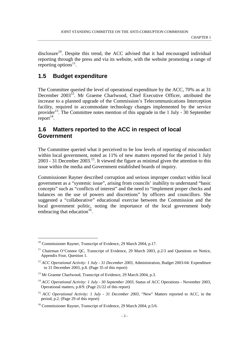$disclosure<sup>10</sup>$ . Despite this trend, the ACC advised that it had encouraged individual reporting through the press and via its website, with the website promoting a range of reporting options<sup>11</sup>.

### **1.5 Budget expenditure**

The Committee queried the level of operational expenditure by the ACC, 70% as at 31 December 2003<sup>12</sup>. Mr Graeme Charlwood, Chief Executive Officer, attributed the increase to a planned upgrade of the Commission's Telecommunications Interception facility, required to accommodate technology changes implemented by the service provider<sup>13</sup>. The Committee notes mention of this upgrade in the 1 July - 30 September report $14$ .

### **1.6 Matters reported to the ACC in respect of local Government**

The Committee queried what it perceived to be low levels of reporting of misconduct within local government, noted as 11% of new matters reported for the period 1 July 2003 - 31 December 2003.<sup>15</sup>. It viewed the figure as minimal given the attention to this issue within the media and Government established boards of inquiry.

Commissioner Rayner described corruption and serious improper conduct within local government as a "systemic issue", arising from councils' inability to understand "basic concepts" such as "conflicts of interest" and the need to "implement proper checks and balances on the use of powers and discretions" by officers and councillors. She suggested a "collaborative" educational exercise between the Commission and the local government politic, noting the importance of the local government body embracing that education<sup>16</sup>.

<sup>&</sup>lt;sup>10</sup> Commissioner Rayner, Transcript of Evidence, 29 March 2004, p.17.

<sup>&</sup>lt;sup>11</sup> Chairman O'Connor OC, Transcript of Evidence, 29 March 2003, p.2/3 and Questions on Notice, Appendix Four, Question 1.

<sup>&</sup>lt;sup>12</sup> ACC Operational Activity: 1 July - 31 December 2003, Administration, Budget 2003-04: Expenditure to 31 December 2003, p.8. (Page 35 of this report)

<sup>&</sup>lt;sup>13</sup> Mr Graeme Charlwood, Transcript of Evidence, 29 March 2004, p.3.

<sup>&</sup>lt;sup>14</sup> *ACC Operational Activity: 1 July - 30 September 2003*, Status of ACC Operations - November 2003, Operational matters, p.8/9. (Page 21/22 of this report)

<sup>&</sup>lt;sup>15</sup> *ACC Operational Activity: 1 July - 31 December 2003*, "New" Matters reported to ACC, in the period, p.2. (Page 29 of this report)

<sup>&</sup>lt;sup>16</sup> Commissioner Rayner, Transcript of Evidence, 29 March 2004, p.5/6.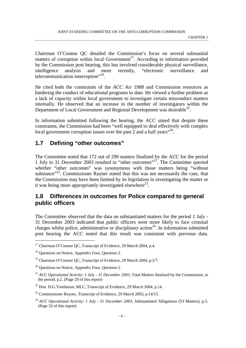Chairman O'Connor QC detailed the Commission's focus on several substantial matters of corruption within local Government<sup>17</sup>. According to information provided by the Commission post hearing, this has involved considerable physical surveillance, intelligence analysis and more recently, "electronic surveillance and telecommunication interception"<sup>18</sup>.

He cited both the constraints of the *ACC Act 1988* and Commission resources as hindering the conduct of educational programs to date. He viewed a further problem as a lack of capacity within local government to investigate certain misconduct matters internally. He observed that an increase in the number of investigators within the Department of Local Government and Regional Development was desirable<sup>19</sup>.

In information submitted following the hearing, the ACC stated that despite these constraints, the Commission had been "well equipped to deal effectively with complex local government corruption issues over the past  $\overline{2}$  and a half years<sup> $2,2$ </sup>.

### **1.7 Defining "other outcomes"**

The Committee noted that 172 out of 290 matters finalised by the ACC for the period 1 July to 31 December 2003 resulted in "other outcomes"21. The Committee queried whether "other outcomes" was synonymous with those matters being "without substance"<sup>22</sup>. Commissioner Rayner stated that this was not necessarily the case, that the Commission may have been limited by its legislation in investigating the matter or it was being more appropriately investigated elsewhere<sup>23</sup>.

### **1.8 Differences in outcomes for Police compared to general public officers**

The Committee observed that the data on substantiated matters for the period 1 July - 31 December 2003 indicated that public officers were more likely to face criminal charges whilst police, administrative or disciplinary action<sup>24</sup>. In information submitted post hearing the ACC noted that this result was consistent with previous data.

<sup>&</sup>lt;sup>17</sup> Chairman O'Connor OC, Transcript of Evidence, 29 March 2004, p.4.

<sup>&</sup>lt;sup>18</sup> Questions on Notice, Appendix Four, Question 2.

<sup>&</sup>lt;sup>19</sup> Chairman O'Connor QC, Transcript of Evidence, 29 March 2004, p.5/7.

<sup>&</sup>lt;sup>20</sup> Questions on Notice, Appendix Four, Question 2.

<sup>&</sup>lt;sup>21</sup> *ACC Operational Activity: 1 July - 31 December 2003*, Total Matters finalised by the Commission, in the period, p.2. (Page 29 of this report)

 $^{22}$  Hon. D.G.Tomlinson, MLC, Transcript of Evidence, 29 March 2004, p.14.

<sup>&</sup>lt;sup>23</sup> Commissioner Rayner, Transcript of Evidence, 29 March 2003, p.14/15.

<sup>&</sup>lt;sup>24</sup> *ACC Operational Activity: 1 July - 31 December 2003*, Substantiated Allegations (53 Matters), p.5. (Page 32 of this report)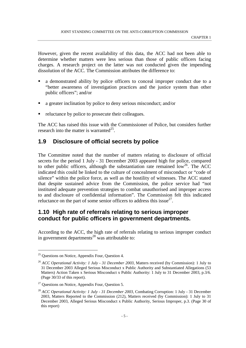However, given the recent availability of this data, the ACC had not been able to determine whether matters were less serious than those of public officers facing charges. A research project on the latter was not conducted given the impending dissolution of the ACC. The Commission attributes the difference to:

- ! a demonstrated ability by police officers to conceal improper conduct due to a "better awareness of investigation practices and the justice system than other public officers"; and/or
- a greater inclination by police to deny serious misconduct; and/or
- reluctance by police to prosecute their colleagues.

The ACC has raised this issue with the Commissioner of Police, but considers further research into the matter is warranted<sup>25</sup>.

### **1.9 Disclosure of official secrets by police**

The Committee noted that the number of matters relating to disclosure of official secrets for the period 1 July - 31 December 2003 appeared high for police, compared to other public officers, although the substantiation rate remained  $\text{low}^{26}$ . The ACC indicated this could be linked to the culture of concealment of misconduct or "code of silence" within the police force, as well as the hostility of witnesses. The ACC stated that despite sustained advice from the Commission, the police service had "not instituted adequate prevention strategies to combat unauthorised and improper access to and disclosure of confidential information". The Commission felt this indicated reluctance on the part of some senior officers to address this issue $^{27}$ .

### **1.10 High rate of referrals relating to serious improper conduct for public officers in government departments.**

According to the ACC, the high rate of referrals relating to serious improper conduct in government departments<sup>28</sup> was attributable to:

 $25$  Questions on Notice, Appendix Four, Question 4.

<sup>&</sup>lt;sup>26</sup> *ACC Operational Activity: 1 July - 31 December 2003*, Matters received (by Commission): 1 July to 31 December 2003 Alleged Serious Misconduct x Public Authority and Substantiated Allegations (53 Matters) Action Taken x Serious Misconduct x Public Authority: 1 July to 31 December 2003, p.3/6. (Page 30/33 of this report).

<sup>&</sup>lt;sup>27</sup> Questions on Notice, Appendix Four, Question 5.

<sup>&</sup>lt;sup>28</sup> *ACC Operational Activity: 1 July - 31 December 2003*, Combating Corruption: 1 July - 31 December 2003, Matters Reported to the Commission (212), Matters received (by Commission): 1 July to 31 December 2003, Alleged Serious Misconduct x Public Authority, Serious Improper, p.3. (Page 30 of this report)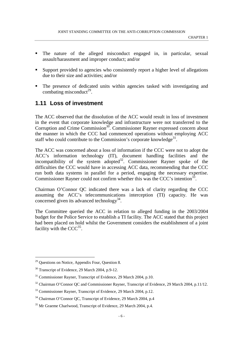- ! The nature of the alleged misconduct engaged in, in particular, sexual assault/harassment and improper conduct; and/or
- ! Support provided to agencies who consistently report a higher level of allegations due to their size and activities; and/or
- ! The presence of dedicated units within agencies tasked with investigating and combating misconduct<sup>29</sup>.

### **1.11 Loss of investment**

The ACC observed that the dissolution of the ACC would result in loss of investment in the event that corporate knowledge and infrastructure were not transferred to the Corruption and Crime Commission<sup>30</sup>. Commissioner Rayner expressed concern about the manner in which the CCC had commenced operations without employing ACC staff who could contribute to the Commission's corporate knowledge<sup>31</sup>.

The ACC was concerned about a loss of information if the CCC were not to adopt the ACC's information technology (IT), document handling facilities and the incompatibility of the system adopted<sup>32</sup>. Commissioner Rayner spoke of the difficulties the CCC would have in accessing ACC data, recommending that the CCC run both data systems in parallel for a period, engaging the necessary expertise. Commissioner Rayner could not confirm whether this was the CCC's intention<sup>33</sup>.

Chairman O'Connor QC indicated there was a lack of clarity regarding the CCC assuming the ACC's telecommunications interception (TI) capacity. He was concerned given its advanced technology<sup>34</sup>.

The Committee queried the ACC in relation to alleged funding in the 2003/2004 budget for the Police Service to establish a TI facility. The ACC stated that this project had been placed on hold whilst the Government considers the establishment of a joint facility with the  $CCC^{35}$ .

<sup>29</sup> Questions on Notice, Appendix Four, Question 8.

<sup>&</sup>lt;sup>30</sup> Transcript of Evidence, 29 March 2004, p.9-12.

<sup>&</sup>lt;sup>31</sup> Commissioner Rayner, Transcript of Evidence, 29 March 2004, p.10.

<sup>&</sup>lt;sup>32</sup> Chairman O'Connor OC and Commissioner Rayner, Transcript of Evidence, 29 March 2004, p.11/12.

<sup>33</sup> Commissioner Rayner, Transcript of Evidence, 29 March 2004, p.12.

<sup>34</sup> Chairman O'Connor QC, Transcript of Evidence, 29 March 2004, p.4

<sup>&</sup>lt;sup>35</sup> Mr Graeme Charlwood, Transcript of Evidence, 29 March 2004, p.4.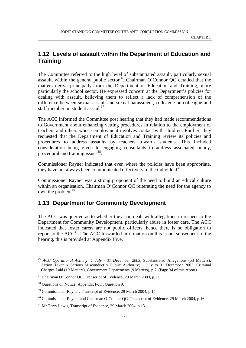### **1.12 Levels of assault within the Department of Education and Training**

The Committee referred to the high level of substantiated assault, particularly sexual assault, within the general public sector<sup>36</sup>. Chairman O'Connor OC detailed that the matters derive principally from the Department of Education and Training, more particularly the school sector. He expressed concern at the Department's policies for dealing with assault, believing them to reflect a lack of comprehension of the difference between sexual assault and sexual harassment, colleague on colleague and staff member on student assault $^{37}$ .

The ACC informed the Committee post hearing that they had made recommendations to Government about enhancing vetting procedures in relation to the employment of teachers and others whose employment involves contact with children. Further, they requested that the Department of Education and Training review its policies and procedures to address assaults by teachers towards students. This included consideration being given to engaging consultants to address associated policy, procedural and training issues<sup>38</sup>.

Commissioner Rayner indicated that even where the policies have been appropriate, they have not always been communicated effectively to the individual<sup>39</sup>.

Commissioner Rayner was a strong proponent of the need to build an ethical culture within an organisation, Chairman O'Connor OC reiterating the need for the agency to own the problem $40$ .

## **1.13 Department for Community Development**

The ACC was queried as to whether they had dealt with allegations in respect to the Department for Community Development, particularly abuse in foster care. The ACC indicated that foster carers are not public officers, hence there is no obligation to report to the  $ACC^{41}$ . The ACC forwarded information on this issue, subsequent to the hearing, this is provided at Appendix Five.

<sup>&</sup>lt;sup>36</sup> ACC Operational Activity: 1 July - 31 December 2003, Substantiated Allegations (53 Matters), Action Taken x Serious Misconduct x Public Authority; 1 July to 31 December 2003, Criminal Charges Laid (19 Matters), Government Departments (9 Matters), p.7. (Page 34 of this report)

<sup>&</sup>lt;sup>37</sup> Chairman O'Connor QC, Transcript of Evidence, 29 March 2003, p.13.

<sup>38</sup> Questions on Notice, Appendix Four, Question 9.

<sup>39</sup> Commissioner Rayner, Transcript of Evidence, 29 March 2004, p.15.

<sup>40</sup> Commissioner Rayner and Chairman O'Connor QC, Transcript of Evidence, 29 March 2004, p.16.

<sup>&</sup>lt;sup>41</sup> Mr Terry Lewis, Transcript of Evidence, 29 March 2004, p.13.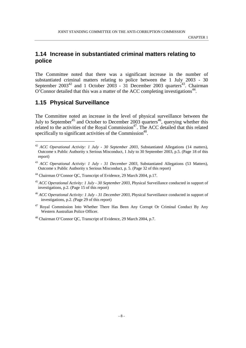### **1.14 Increase in substantiated criminal matters relating to police**

The Committee noted that there was a significant increase in the number of substantiated criminal matters relating to police between the 1 July 2003 - 30 September  $2003^{42}$  and 1 October 2003 - 31 December 2003 quarters<sup>43</sup>. Chairman  $O'$ Connor detailed that this was a matter of the ACC completing investigations<sup>44</sup>.

### **1.15 Physical Surveillance**

-

The Committee noted an increase in the level of physical surveillance between the July to September<sup>45</sup> and October to December 2003 quarters<sup>46</sup>, querying whether this related to the activities of the Royal Commission<sup>47</sup>. The ACC detailed that this related specifically to significant activities of the Commission<sup>48</sup>.

<sup>47</sup> Royal Commission Into Whether There Has Been Any Corrupt Or Criminal Conduct By Any Western Australian Police Officer.

<sup>42</sup> *ACC Operational Activity: 1 July - 30 September 2003,* Substantiated Allegations (14 matters), Outcome x Public Authority x Serious Misconduct, 1 July to 30 September 2003, p.5. (Page 18 of this report)

<sup>&</sup>lt;sup>43</sup> ACC Operational Activity: 1 July - 31 December 2003, Substantiated Allegations (53 Matters), Outcome x Public Authority x Serious Misconduct, p. 5. (Page 32 of this report)

<sup>&</sup>lt;sup>44</sup> Chairman O'Connor OC, Transcript of Evidence, 29 March 2004, p.17.

<sup>45</sup> *ACC Operational Activity: 1 July - 30 September 2003*, Physical Surveillance conducted in support of investigations, p.2. (Page 15 of this report)

<sup>46</sup> *ACC Operational Activity: 1 July - 31 December 2003*, Physical Surveillance conducted in support of investigations, p.2. *(*Page 29 of this report)

<sup>48</sup> Chairman O'Connor QC, Transcript of Evidence, 29 March 2004, p.7.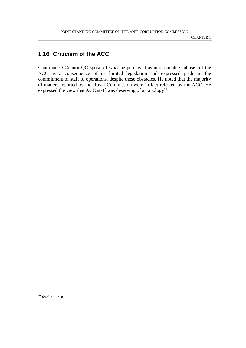## **1.16 Criticism of the ACC**

Chairman O'Connor QC spoke of what he perceived as unreasonable "abuse" of the ACC as a consequence of its limited legislation and expressed pride in the commitment of staff to operations, despite these obstacles. He noted that the majority of matters reported by the Royal Commission were in fact referred by the ACC. He expressed the view that ACC staff was deserving of an apology<sup>49</sup>.

<sup>49</sup> *Ibid*, p.17/18.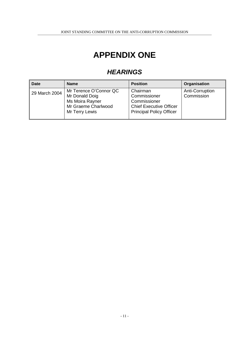## **APPENDIX ONE**

## **HEARINGS**

| <b>Date</b>   | <b>Name</b>                                                                                          | <b>Position</b>                                                                                               | Organisation                  |
|---------------|------------------------------------------------------------------------------------------------------|---------------------------------------------------------------------------------------------------------------|-------------------------------|
| 29 March 2004 | Mr Terence O'Connor QC<br>Mr Donald Doig<br>Ms Moira Rayner<br>Mr Graeme Charlwood<br>Mr Terry Lewis | Chairman<br>Commissioner<br>Commissioner<br><b>Chief Executive Officer</b><br><b>Principal Policy Officer</b> | Anti-Corruption<br>Commission |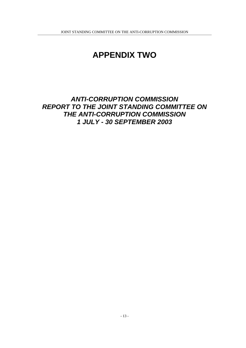## **APPENDIX TWO**

## **ANTI-CORRUPTION COMMISSION REPORT TO THE JOINT STANDING COMMITTEE ON THE ANTI-CORRUPTION COMMISSION 1 JULY - 30 SEPTEMBER 2003**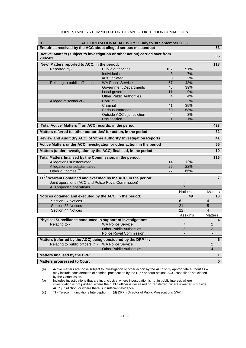| ACC OPERATIONAL ACTIVITY: 1 July to 30 September 2003<br>1.                              |                                 |                |                 |                                  |  |  |
|------------------------------------------------------------------------------------------|---------------------------------|----------------|-----------------|----------------------------------|--|--|
| Enquiries received by the ACC about alleged serious misconduct                           |                                 |                |                 | 53                               |  |  |
| 'Active' Matters (subject to investigation or other action) carried over from<br>2002-03 |                                 |                |                 | 305                              |  |  |
| 'New' Matters reported to ACC, in the period:                                            |                                 |                |                 | 118                              |  |  |
| Reported by -                                                                            | Public authorities              | 107            | 91%             |                                  |  |  |
|                                                                                          | <b>Individuals</b>              | 8              | 7%              |                                  |  |  |
|                                                                                          | <b>ACC</b> initiated            | 3              | 2%              |                                  |  |  |
| Relating to public officers in -                                                         | <b>WA Police Service</b>        | 57             | 48%             |                                  |  |  |
|                                                                                          | <b>Government Departments</b>   | 46             | 39%             |                                  |  |  |
|                                                                                          | Local government                | 11             | 9%              |                                  |  |  |
|                                                                                          | <b>Other Public Authorities</b> | $\overline{4}$ | 4%              |                                  |  |  |
| Alleged misconduct -                                                                     | Corrupt                         | 3              | 3%              |                                  |  |  |
|                                                                                          | Criminal                        | 41             | 35%             |                                  |  |  |
|                                                                                          | Serious Improper                | 69             | 58%             |                                  |  |  |
|                                                                                          | Outside ACC's jurisdiction      | 4              | 3%              |                                  |  |  |
|                                                                                          | Unclassified                    | $\mathbf{1}$   | 1%              |                                  |  |  |
| 'Total Active' Matters (a) on ACC records, in the period                                 |                                 |                |                 | 423                              |  |  |
| Matters referred to 'other authorities' for action, in the period                        |                                 |                |                 | 32                               |  |  |
| Review and Audit (by ACC) of 'other authority' Investigation Reports                     |                                 |                |                 | 41                               |  |  |
| Active Matters under ACC investigation or other action, in the period                    |                                 |                |                 | 55                               |  |  |
| Matters (under investigation by the ACC) finalised, in the period                        |                                 |                |                 | 10                               |  |  |
| Total Matters finalised by the Commission, in the period:                                |                                 |                |                 | 116                              |  |  |
| Allegations substantiated                                                                |                                 | 14             | 12%             |                                  |  |  |
| Allegations unsubstantiated                                                              |                                 | 25             | 22%             |                                  |  |  |
| Other outcomes <sup>(b)</sup>                                                            |                                 | 77             | 66%             |                                  |  |  |
| $TI^{(c)}$ Warrants obtained and executed by the ACC, in the period:                     |                                 |                |                 | $\overline{7}$                   |  |  |
| Joint operations (ACC and Police Royal Commission)                                       |                                 |                |                 |                                  |  |  |
| ACC-specific operations                                                                  |                                 |                | 7               |                                  |  |  |
|                                                                                          |                                 |                | Notices         | <b>Matters</b>                   |  |  |
| Notices obtained and executed by the ACC, in the period:                                 |                                 |                | 49              | 13                               |  |  |
| Section 37 Notices                                                                       |                                 |                | 6               | $\overline{4}$                   |  |  |
| Section 38 Notices                                                                       |                                 |                | $\overline{21}$ | $\overline{5}$                   |  |  |
| Section 44 Notices                                                                       |                                 |                | 22              | 4                                |  |  |
|                                                                                          |                                 |                | Assign's        | <b>Matters</b>                   |  |  |
| Physical Surveillance conducted in support of investigations:                            |                                 |                |                 | 4                                |  |  |
| Relating to -                                                                            | <b>WA Police Service</b>        |                | $\overline{7}$  | $\overline{c}$                   |  |  |
|                                                                                          | <b>Other Public Authorities</b> |                | $\overline{2}$  | $\overline{2}$                   |  |  |
|                                                                                          | Police Royal Commission         |                |                 |                                  |  |  |
| Matters (referred by the ACC) being considered by the DPP (d):                           |                                 |                |                 | 6                                |  |  |
| <b>WA Police Service</b><br>Relating to public officers in -                             |                                 |                |                 |                                  |  |  |
|                                                                                          | <b>Other Public Authorities</b> |                |                 | $\overline{2}$<br>$\overline{4}$ |  |  |
| <b>Matters finalised by the DPP</b><br>$\mathbf 1$                                       |                                 |                |                 |                                  |  |  |
|                                                                                          |                                 |                |                 |                                  |  |  |
| <b>Matters progressed to Court</b>                                                       |                                 |                |                 | $\mathbf 0$                      |  |  |

#### JOINT STANDING COMMITTEE ON THE ANTI-CORRUPTION COMMISSION

(a) Active matters are those subject to investigation or other action by the ACC or by appropriate authorities – may include consideration of criminal prosecution by the DPP or court action; ACC case files ' not closed ' by the Commission.

(b) Includes investigations that are inconclusive, where investigation is not in public interest, where investigation is not justified, where the public officer is deceased or transferred, where a matter is outside ACC jurisdiction, or where there is insufficient evidence.

(c) TI - Telecommunications Interception. (d) DPP - Director of Public Prosecutions (WA).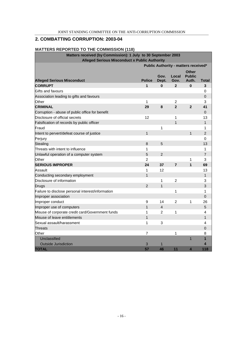#### **2. COMBATTING CORRUPTION: 2003-04**

#### **MATTERS REPORTED TO THE COMMISSION (118)**

| Matters received (by Commission): 1 July to 30 September 2003<br><b>Alleged Serious Misconduct x Public Authority</b> |                    |                |                      |                               |                   |
|-----------------------------------------------------------------------------------------------------------------------|--------------------|----------------|----------------------|-------------------------------|-------------------|
| Public Authority - matters received*                                                                                  |                    |                |                      |                               |                   |
|                                                                                                                       |                    | Gov.           | Local                | <b>Other</b><br><b>Public</b> |                   |
| <b>Alleged Serious Misconduct</b><br><b>CORRUPT</b>                                                                   | <b>Police</b><br>1 | Dept.<br>0     | Gov.<br>$\mathbf{2}$ | Auth.<br>0                    | <b>Total</b><br>3 |
| Gifts and favours                                                                                                     |                    |                |                      |                               | 0                 |
| Association leading to gifts and favours                                                                              |                    |                |                      |                               | 0                 |
| Other                                                                                                                 | 1                  |                | $\overline{2}$       |                               | 3                 |
| <b>CRIMINAL</b>                                                                                                       | 29                 | 8              | $\overline{2}$       | $\overline{2}$                | 41                |
| Corruption - abuse of public office for benefit                                                                       |                    |                |                      |                               | $\Omega$          |
| Disclosure of official secrets                                                                                        | 12                 |                | 1                    |                               | 13                |
| Falsification of records by public officer                                                                            |                    |                | 1                    |                               | $\mathbf{1}$      |
| Fraud                                                                                                                 |                    | 1              |                      |                               | 1                 |
| Intent to pervert/defeat course of justice                                                                            | $\mathbf{1}$       |                |                      | $\mathbf{1}$                  | $\overline{2}$    |
| Perjury                                                                                                               |                    |                |                      |                               | 0                 |
| <b>Stealing</b>                                                                                                       | 8                  | 5              |                      |                               | 13                |
| Threats with intent to influence                                                                                      | 1                  |                |                      |                               | 1                 |
| Unlawful operation of a computer system                                                                               | 5                  | $\overline{2}$ |                      |                               | $\overline{7}$    |
| Other                                                                                                                 | $\overline{2}$     |                |                      | 1                             | 3                 |
| <b>SERIOUS IMPROPER</b>                                                                                               | 24                 | 37             | $\overline{7}$       | 1                             | 69                |
| Assault                                                                                                               | 1                  | 12             |                      |                               | 13                |
| Conducting secondary employment                                                                                       | 1                  |                |                      |                               | $\mathbf{1}$      |
| Disclosure of information                                                                                             |                    | 1              | $\overline{2}$       |                               | 3                 |
| <b>Drugs</b>                                                                                                          | $\overline{2}$     | 1              |                      |                               | 3                 |
| Failure to disclose personal interest/information                                                                     |                    |                | 1                    |                               | 1                 |
| Improper association                                                                                                  |                    |                |                      |                               | 0                 |
| Improper conduct                                                                                                      | 9                  | 14             | $\overline{2}$       | 1                             | 26                |
| Improper use of computers                                                                                             | 1                  | 4              |                      |                               | 5                 |
| Misuse of corporate credit card/Government funds                                                                      | 1                  | 2              | 1                    |                               | 4                 |
| Misuse of leave entitlements                                                                                          | 1                  |                |                      |                               | $\mathbf{1}$      |
| Sexual assault/harassment                                                                                             | 1                  | 3              |                      |                               | 4                 |
| <b>Threats</b>                                                                                                        |                    |                |                      |                               | 0                 |
| Other                                                                                                                 | 7                  |                | 1                    |                               | 8                 |
| Unclassified                                                                                                          |                    |                |                      | $\overline{1}$                | 1                 |
| <b>Outside Jurisdiction</b>                                                                                           | 3                  | 1              |                      |                               | 4                 |
| <b>TOTAL</b>                                                                                                          | 57                 | 46             | 11                   | 4                             | 118               |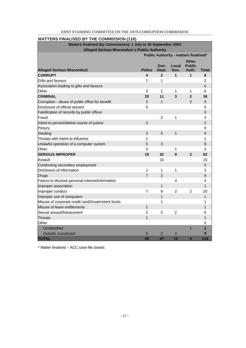| <b>MATTERS FINALISED BY THE COMMISSION (116)</b>  |                                                                                                                        |                |                         |                               |                |  |
|---------------------------------------------------|------------------------------------------------------------------------------------------------------------------------|----------------|-------------------------|-------------------------------|----------------|--|
|                                                   | Matters finalised (by Commission): 1 July to 30 September 2003<br><b>Alleged Serious Misconduct x Public Authority</b> |                |                         |                               |                |  |
| Public Authority - matters finalised*             |                                                                                                                        |                |                         |                               |                |  |
|                                                   |                                                                                                                        | Gov.           | Local                   | <b>Other</b><br><b>Public</b> |                |  |
| <b>Alleged Serious Misconduct</b>                 | <b>Police</b>                                                                                                          | Dept.          | Gov.                    | Auth.                         | <b>Total</b>   |  |
| <b>CORRUPT</b>                                    | 4                                                                                                                      | $\mathbf{2}$   | 1                       | 1                             | 8              |  |
| Gifts and favours                                 | 1                                                                                                                      | 1              |                         |                               | 2              |  |
| Association leading to gifts and favours          |                                                                                                                        |                |                         |                               | 0              |  |
| Other                                             | 3                                                                                                                      | 1              | 1                       | 1                             | 6              |  |
| <b>CRIMINAL</b>                                   | 20                                                                                                                     | 11             | $\overline{\mathbf{3}}$ | $\overline{2}$                | 36             |  |
| Corruption - abuse of public office for benefit   | $\overline{2}$                                                                                                         | $\mathbf{1}$   |                         | $\overline{2}$                | 5              |  |
| Disclosure of official secrets                    | 5                                                                                                                      |                |                         |                               | 5              |  |
| Falsification of records by public officer        |                                                                                                                        |                |                         |                               | 0              |  |
| Fraud                                             |                                                                                                                        | $\overline{2}$ | 1                       |                               | 3              |  |
| Intent to pervert/defeat course of justice        | $\overline{2}$                                                                                                         |                |                         |                               | $\overline{2}$ |  |
| Perjury                                           |                                                                                                                        |                |                         |                               | 0              |  |
| <b>Stealing</b>                                   | 3                                                                                                                      | 5              | $\mathbf{1}$            |                               | 9              |  |
| Threats with intent to influence                  | 1                                                                                                                      |                |                         |                               | 1              |  |
| Unlawful operation of a computer system           | 5                                                                                                                      | 3              |                         |                               | 8              |  |
| Other                                             | 2                                                                                                                      |                | 1                       |                               | 3              |  |
| <b>SERIOUS IMPROPER</b>                           | 19                                                                                                                     | 32             | 9                       | $\overline{2}$                | 62             |  |
| Assault                                           |                                                                                                                        | 15             |                         |                               | 15             |  |
| Conducting secondary employment                   |                                                                                                                        |                |                         |                               | 0              |  |
| Disclosure of information                         | 1                                                                                                                      | 1              | 1                       |                               | 3              |  |
| Drugs                                             | $\overline{7}$                                                                                                         | $\overline{2}$ |                         |                               | 9              |  |
| Failure to disclose personal interest/information |                                                                                                                        |                | $\overline{4}$          |                               | 4              |  |
| Improper association                              |                                                                                                                        | $\mathbf{1}$   |                         |                               | 1              |  |
| Improper conduct                                  | 7                                                                                                                      | 9              | $\overline{2}$          | $\overline{2}$                | 20             |  |
| Improper use of computers                         |                                                                                                                        | 1              |                         |                               | 1              |  |
| Misuse of corporate credit card/Government funds  |                                                                                                                        | 1              |                         |                               | 1              |  |
| Misuse of leave entitlements                      | $\mathbf{1}$                                                                                                           |                |                         |                               | 1              |  |
| Sexual assault/harassment                         | 2                                                                                                                      | 2              | 2                       |                               | 6              |  |
| Threats                                           | 1                                                                                                                      |                |                         |                               |                |  |
| Other                                             |                                                                                                                        |                |                         |                               | 0              |  |
| Unclassified                                      |                                                                                                                        |                |                         | $\overline{1}$                | 1              |  |
| <b>Outside Jurisdiction</b>                       | 5                                                                                                                      | $\overline{2}$ | $\overline{c}$          |                               | 9              |  |
| <b>TOTAL</b>                                      | 48                                                                                                                     | 47             | 15                      | 6                             | 116            |  |

#### JOINT STANDING COMMITTEE ON THE ANTI-CORRUPTION COMMISSION

\* Matter finalised – ACC case file closed.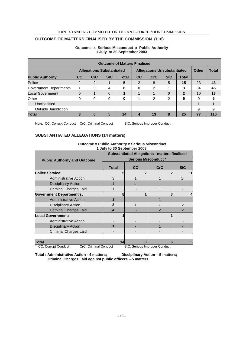#### JOINT STANDING COMMITTEE ON THE ANTI-CORRUPTION COMMISSION

#### **OUTCOME OF MATTERS FINALISED BY THE COMMISSION (116)**

| <b>Outcome of Matters Finalised</b> |           |                                  |            |              |                  |                                    |            |              |              |              |
|-------------------------------------|-----------|----------------------------------|------------|--------------|------------------|------------------------------------|------------|--------------|--------------|--------------|
|                                     |           | <b>Allegations Substantiated</b> |            |              |                  | <b>Allegations Unsubstantiated</b> |            |              | <b>Other</b> | <b>Total</b> |
| <b>Public Authority</b>             | <b>CC</b> | CrC                              | <b>SIC</b> | <b>Total</b> | CC               | <b>CrC</b>                         | <b>SIC</b> | <b>Total</b> |              |              |
| Police                              | 2         | $\mathcal{P}$                    | 1          | 5            | 2                | 8                                  | 5          | 15           | 23           | 43           |
| Government Departments              |           | 3                                | 4          | 8            | 0                | 2                                  |            | 3            | 34           | 45           |
| Local Government                    | $\Omega$  |                                  | $\Omega$   |              |                  |                                    | $\Omega$   | $\mathbf{2}$ | 10           | 13           |
| Other                               | 0         | $\Omega$                         | 0          | 0            |                  | 2                                  | 2          | 5            | 0            |              |
| Unclassified                        |           |                                  |            |              |                  |                                    |            |              |              |              |
| Outside Jurisdiction                |           |                                  |            |              |                  |                                    |            |              | 9            | 9            |
| <b>Total</b>                        |           | 6                                | 5          | 14           | $\boldsymbol{4}$ | 13                                 | 8          | 25           | 77           | 116          |

#### **Outcome x Serious Misconduct x Public Authority 1 July to 30 September 2003**

Note: CC: Corrupt Conduct CrC: Criminal Conduct SIC: Serious Improper Conduct

#### **SUBSTANTIATED ALLEGATIONS (14 matters)**

| <b>Outcome x Public Authority x Serious Misconduct</b> |  |
|--------------------------------------------------------|--|
| 1 July to 30 September 2003                            |  |
| Cubatantiated Allenations methods                      |  |

|                                                                                                                                                  | <b>Substantiated Allegations - matters finalised</b> |    |                                     |                |  |  |
|--------------------------------------------------------------------------------------------------------------------------------------------------|------------------------------------------------------|----|-------------------------------------|----------------|--|--|
| <b>Public Authority and Outcome</b>                                                                                                              | <b>Serious Misconduct *</b>                          |    |                                     |                |  |  |
|                                                                                                                                                  | <b>Total</b>                                         | cc | <b>CrC</b>                          | <b>SIC</b>     |  |  |
| <b>Police Service:</b>                                                                                                                           |                                                      |    |                                     |                |  |  |
| <b>Administrative Action</b>                                                                                                                     |                                                      |    |                                     |                |  |  |
| <b>Disciplinary Action</b>                                                                                                                       |                                                      |    |                                     |                |  |  |
| <b>Criminal Charges Laid</b>                                                                                                                     |                                                      |    |                                     |                |  |  |
| <b>Government Department's:</b>                                                                                                                  |                                                      |    |                                     |                |  |  |
| <b>Administrative Action</b>                                                                                                                     |                                                      |    |                                     |                |  |  |
| <b>Disciplinary Action</b>                                                                                                                       | 3                                                    |    |                                     | $\mathfrak{p}$ |  |  |
| <b>Criminal Charges Laid</b>                                                                                                                     | 4                                                    |    | $\mathcal{P}$                       | $\mathcal{P}$  |  |  |
| <b>Local Government:</b>                                                                                                                         |                                                      |    |                                     |                |  |  |
| <b>Administrative Action</b>                                                                                                                     |                                                      |    |                                     |                |  |  |
| <b>Disciplinary Action</b>                                                                                                                       |                                                      |    |                                     |                |  |  |
| <b>Criminal Charges Laid</b>                                                                                                                     |                                                      |    |                                     |                |  |  |
|                                                                                                                                                  |                                                      |    |                                     |                |  |  |
| Total<br>OuO: Outrained One decad<br>$\bigcap_{n=1}^{\infty}$ $\bigcap_{n=1}^{\infty}$ and $\bigcap_{n=1}^{\infty}$ and $\bigcap_{n=1}^{\infty}$ |                                                      |    | OIO: Osala de Jacquesa en Osalabert |                |  |  |

CC: Corrupt Conduct CrC: Criminal Conduct SIC: Serious Improper Conduct

Total : Administrative Action - 4 matters; Disciplinary Action – 5 matters;  **Criminal Charges Laid against public officers – 5 matters.**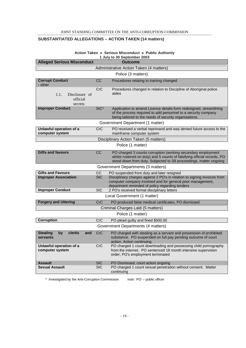#### **SUBSTANTIATED ALLEGATIONS – ACTION TAKEN (14 matters)**

| 1 July to 30 September 2003                        |                  |                                                                                                                                                                                                               |  |  |  |
|----------------------------------------------------|------------------|---------------------------------------------------------------------------------------------------------------------------------------------------------------------------------------------------------------|--|--|--|
| <b>Alleged Serious Misconduct</b>                  |                  | Outcome                                                                                                                                                                                                       |  |  |  |
|                                                    |                  | Administrative Action Taken (4 matters)                                                                                                                                                                       |  |  |  |
|                                                    |                  | Police (3 matters)                                                                                                                                                                                            |  |  |  |
| <b>Corrupt Conduct</b><br>- other                  | CC               | Procedures relating to training changed                                                                                                                                                                       |  |  |  |
| 1.1.<br>Disclosure of<br>official<br>secrets       | <b>CrC</b>       | Procedures changed in relation to Discipline of Aboriginal police<br>aides                                                                                                                                    |  |  |  |
| <b>Improper Conduct</b>                            | SIC <sup>*</sup> | Application to amend Licence details form redesigned, streamlining<br>of the process required to add personnel to a security company<br>being tailored to the needs of security organisations.                |  |  |  |
|                                                    |                  | Government Department (1 matter)                                                                                                                                                                              |  |  |  |
| Unlawful operation of a<br>computer system         | CrC              | PO received a verbal reprimand and was denied future access to the<br>mainframe computer system                                                                                                               |  |  |  |
|                                                    |                  | Disciplinary Action Taken (5 matters)                                                                                                                                                                         |  |  |  |
|                                                    |                  | Police (1 matter)                                                                                                                                                                                             |  |  |  |
| <b>Gifts and favours</b>                           | CC               | PO charged 3 counts corruption (working secondary employment<br>whilst rostered on duty) and 5 counts of falsifying official records, PO<br>stood down from duty, Subjected to S8 proceedings, matter ongoing |  |  |  |
|                                                    |                  | Government Departments (3 matters)                                                                                                                                                                            |  |  |  |
| <b>Gifts and Favours</b>                           | $\overline{CC}$  | PO suspended from duty and later resigned                                                                                                                                                                     |  |  |  |
| <b>Improper Association</b>                        | <b>SIC</b>       | Disciplinary charges against 2 PO's in relation to signing invoices from<br>computer company involved and for general poor management,<br>department reminded of policy regarding tenders                     |  |  |  |
| <b>Improper Conduct</b>                            | <b>SIC</b>       | 2 PO's received formal disciplinary letters                                                                                                                                                                   |  |  |  |
|                                                    |                  | Local Government (1 matter)                                                                                                                                                                                   |  |  |  |
| <b>Forgery and Uttering</b>                        | CrC              | PO produced false medical certificates, PO dismissed                                                                                                                                                          |  |  |  |
|                                                    |                  | Criminal Charges Laid (5 matters)                                                                                                                                                                             |  |  |  |
|                                                    |                  | Police (1 matter)                                                                                                                                                                                             |  |  |  |
| <b>Corruption</b>                                  | CrC              | PO plead guilty and fined \$500.00                                                                                                                                                                            |  |  |  |
|                                                    |                  | Government Departments (4 matters)                                                                                                                                                                            |  |  |  |
| clerks<br><b>Stealing</b><br>by<br>and<br>servants | <b>CrC</b>       | PO charged with stealing as a servant and possession of prohibited<br>substance. PO suspended on full pay pending outcome of court<br>action. Action continuing.                                              |  |  |  |
| Unlawful operation of a<br>computer system         | CrC              | PO charged 1 count downloading and possessing child pornography<br>from the internet. PO sentenced 18 month intensive supervision<br>order, PO's employment terminated                                        |  |  |  |
| <b>Assault</b>                                     | <b>SIC</b>       | PO Dismissed, court action ongoing                                                                                                                                                                            |  |  |  |
| <b>Sexual Assault</b>                              | <b>SIC</b>       | PO charged 1 count sexual penetration without consent. Matter<br>continuing                                                                                                                                   |  |  |  |

#### **Action Taken x Serious Misconduct x Public Authority 1 July to 30 September 2003**

\* Investigated by the Anti-Corruption Commission note: 'PO' – public officer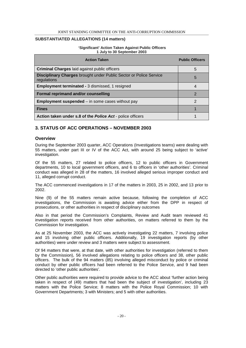#### **SUBSTANTIATED ALLEGATIONS (14 matters)**

#### **'Significant' Action Taken Against Public Officers 1 July to 30 September 2003**

| <b>Action Taken</b>                                                                      | <b>Public Officers</b> |
|------------------------------------------------------------------------------------------|------------------------|
| <b>Criminal Charges laid against public officers</b>                                     | 5                      |
| <b>Disciplinary Charges brought under Public Sector or Police Service</b><br>regulations | 5                      |
| <b>Employment terminated - 3 dismissed, 1 resigned</b>                                   |                        |
| Formal reprimand and/or counselling                                                      | 2                      |
| <b>Employment suspended</b> $-$ in some cases without pay                                | 2                      |
| <b>Fines</b>                                                                             |                        |
| Action taken under s.8 of the Police Act - police officers                               |                        |

#### **3. STATUS OF ACC OPERATIONS – NOVEMBER 2003**

#### **Overview**

During the September 2003 quarter, ACC Operations (Investigations teams) were dealing with 55 matters, under part III or IV of the ACC Act, with around 25 being subject to 'active' investigation.

Of the 55 matters, 27 related to police officers, 12 to public officers in Government departments, 10 to local government officers, and 6 to officers in 'other authorities'. Criminal conduct was alleged in 28 of the matters, 16 involved alleged serious improper conduct and 11, alleged corrupt conduct.

The ACC commenced investigations in 17 of the matters in 2003, 25 in 2002, and 13 prior to 2002.

Nine (9) of the 55 matters remain active because, following the completion of ACC investigations, the Commission is awaiting advice either from the DPP in respect of prosecutions, or other authorities in respect of disciplinary outcomes

Also in that period the Commission's Complaints, Review and Audit team reviewed 41 investigation reports received from other authorities, on matters referred to them by the Commission for investigation.

As at 25 November 2003, the ACC was actively investigating 22 matters, 7 involving police and 15 involving other public officers. Additionally, 19 investigation reports (by other authorities) were under review and 3 matters were subject to assessment.

Of 94 matters that were, at that date, with other authorities for investigation (referred to them by the Commission), 56 involved allegations relating to police officers and 38, other public officers. The bulk of the 94 matters (85) involving alleged misconduct by police or criminal conduct by other public officers had been referred to the Police Service, and 9 had been directed to 'other public authorities'.

Other public authorities were required to provide advice to the ACC about 'further action being taken in respect of (49) matters that had been the subject of investigation', including 23 matters with the Police Service; 8 matters with the Police Royal Commission; 10 with Government Departments; 3 with Ministers; and 5 with other authorities.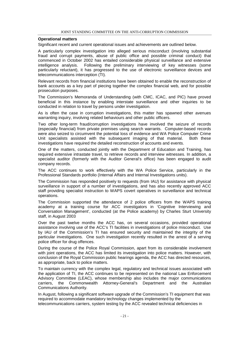#### **Operational matters**

Significant recent and current operational issues and achievements are outlined below.

A particularly complex investigation into alleged serious misconduct (involving substantial fraud and corrupt payments, abuse of public office and possible criminal conduct) that commenced in October 2002 has entailed considerable physical surveillance and extensive intelligence analysis. Following the preliminary interviewing of key witnesses (some particularly reluctant), it has progressed to the use of electronic surveillance devices and telecommunications interception (TI).

Relevant records from financial institutions have been obtained to enable the reconstruction of bank accounts as a key part of piecing together the complex financial web, and for possible prosecution purposes.

The Commission's Memoranda of Understanding (with CMC, ICAC, and PIC) have proved beneficial in this instance by enabling interstate surveillance and other inquiries to be conducted in relation to travel by persons under investigation.

As is often the case in corruption investigations, this matter has spawned other avenues warranting inquiry, involving related behaviours and other public officers.

Two other long-term fraud/corruption investigations have involved the seizure of records (especially financial) from private premises using search warrants. Computer-based records were also seized to circumvent the potential loss of evidence and WA Police Computer Crime Unit specialists assisted with the subsequent imaging of that material. Both these investigations have required the detailed reconstruction of accounts and events.

One of the matters, conducted jointly with the Department of Education and Training, has required extensive intrastate travel, to retrieve records and interview witnesses. In addition, a specialist auditor (formerly with the Auditor General's office) has been engaged to audit company records.

The ACC continues to work effectively with the WA Police Service, particularly in the Professional Standards portfolio (Internal Affairs and Internal Investigations units).

The Commission has responded positively to requests (from IAU) for assistance with physical surveillance in support of a number of investigations, and has also recently approved ACC staff providing specialist instruction to WAPS covert operatives in surveillance and technical operations.

The Commission supported the attendance of 2 police officers from the WAPS training academy at a training course for ACC investigators in 'Cognitive Interviewing and Conversation Management', conducted (at the Police academy) by Charles Sturt University staff, in August 2003

Over the past twelve months the ACC has, on several occasions, provided operational assistance involving use of the ACC's TI facilities in investigations of police misconduct. Use by IAU of the Commission's TI has ensured security and maintained the integrity of the particular investigations. One such investigation recently resulted in the arrest of a serving police officer for drug offences.

During the course of the Police Royal Commission, apart from its considerable involvement with joint operations, the ACC has limited its investigation into police matters. However, with conclusion of the Royal Commission public hearings agenda, the ACC has directed resources, as appropriate, back to police matters.

To maintain currency with the complex legal, regulatory and technical issues associated with the application of TI, the ACC continues to be represented on the national Law Enforcement Advisory Committee (LEAC), whose membership also includes the major communications carriers, the Commonwealth Attorney-General's Department and the Australian Communications Authority.

In August, following a significant software upgrade of the Commission's TI equipment that was required to accommodate mandatory technology changes implemented by the telecommunications carriers, system testing by the ACC revealed technical deficiencies in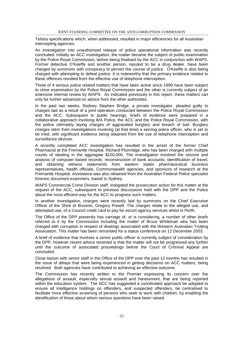Telstra specifications which, when addressed, resulted in major efficiencies for all Australian intercepting agencies.

An investigation into unauthorised release of police operational information was recently concluded. Initially an ACC investigation, the matter became the subject of public examination by the Police Royal Commission, before being finalised by the ACC in conjunction with WAPS. Former detective O'Keeffe and another person, reputed to be a drug dealer, have been charged by summons with conspiracy to pervert the course of justice. O'Keeffe is also being charged with attempting to defeat justice. It is noteworthy that the primary evidence related to these offences resulted from the effective use of telephone interception.

Three of 4 serious police related matters that have been active since 1999 have been subject to close examination by the Police Royal Commission and the other is currently subject of an extensive internal review by WAPS. As indicated previously in this report, these matters can only be further advanced on advice from the other authorities.

In the past two weeks, Rodney Stephen Bridge, a private investigator, pleaded guilty to charges laid as a result of a joint operation conducted between the Police Royal Commission and the ACC. Subsequent to public hearings, briefs of evidence were prepared in a collaborative approach involving WA Police, the ACC and the Police Royal Commission, with the police ultimately laying charges of aggravated burglary and breach of bail. Burglary charges stem from investigations involving (at that time) a serving police officer, who is yet to be tried, with significant evidence being obtained from the use of telephone interception and surveillance devices.

A recently completed ACC investigation has resulted in the arrest of the former Chief Pharmacist at the Fremantle Hospital, Richard Plumridge, who has been charged with multiple counts of stealing in the aggregate \$100,000. The investigation involved the seizure and analysis of computer based records; reconstruction of bank accounts; identification of travel; and obtaining witness statements from eastern states pharmaceutical business representatives, health officials, Commonwealth agencies, and sponsors of research at the Fremantle Hospital. Assistance was also obtained from the Australian Federal Police specialist forensic document examiners, based in Sydney.

WAPS Commercial Crime Division staff, instigated the prosecution action for this matter at the request of the ACC, subsequent to previous discussions held with the DPP and the Police about the most efficient way for the ACC to progress such matters.

In another investigation, charges were recently laid by summons on the Chief Executive Officer of the Shire of Broome, Gregory Powell. The charges relate to the alleged use, and attempted use, of a Council credit card to pay for escort agency services whilst in Perth.

The Office of the DPP presently has carriage of, or is considering, a number of other briefs referred to it by the Commission including the matter of Bruce Whiteman who has been charged with corruption in respect of dealings associated with the Western Australian Trotting Association. This matter has been remanded for a status conference on 12 December 2003.

A brief of evidence that involves a senior public officer is currently subject of consideration by the DPP, however recent advice received is that the matter will not be progressed any further until the outcome of associated proceedings before the Court of Criminal Appeal are concluded.

Close liaison with senior staff in the Office of the DPP over the past 12 months has resulted in the issue of delays that were being experienced in getting decisions on ACC matters, being resolved. Both agencies have contributed to achieving an effective outcome.

The Commission has recently written to the Premier expressing its concern over the allegations of assault, especially sexual assault and harassment, that are being reported within the education system. The ACC has suggested a coordinated approach be adopted to ensure all intelligence holdings on offenders, and suspected offenders, be centralised to facilitate more effective screening of persons who seek to work with children, by enabling the identification of those about whom serious questions have been raised.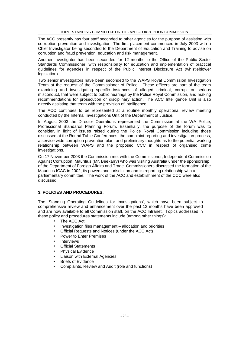The ACC presently has four staff seconded to other agencies for the purpose of assisting with corruption prevention and investigation. The first placement commenced in July 2003 with a Chief Investigator being seconded to the Department of Education and Training to advise on corruption and fraud prevention, education and risk management.

Another investigator has been seconded for 12 months to the Office of the Public Sector Standards Commissioner, with responsibility for education and implementation of practical guidelines for agencies in respect of the Public Interest Disclosure Act (whistleblower legislation).

Two senior investigators have been seconded to the WAPS Royal Commission Investigation Team at the request of the Commissioner of Police. These officers are part of the team examining and investigating specific instances of alleged criminal, corrupt or serious misconduct, that were subject to public hearings by the Police Royal Commission, and making recommendations for prosecution or disciplinary action. The ACC Intelligence Unit is also directly assisting that team with the provision of intelligence.

The ACC continues to be represented at a routine monthly operational review meeting conducted by the Internal Investigations Unit of the Department of Justice.

In August 2003 the Director Operations represented the Commission at the WA Police, Professional Standards Planning Forum. Essentially, the purpose of the forum was to consider, in light of issues raised during the Police Royal Commission including those discussed at the Round Table Conferences, the complaint reporting and investigation process, a service wide corruption prevention plan, and preliminary thoughts as to the potential working relationship between WAPS and the proposed CCC in respect of organised crime investigations.

On 17 November 2003 the Commission met with the Commissioner, Independent Commission Against Corruption, Mauritius (Mr. Beekarry) who was visiting Australia under the sponsorship of the Department of Foreign Affairs and Trade. Commissioners discussed the formation of the Mauritius ICAC in 2002, its powers and jurisdiction and its reporting relationship with a parliamentary committee. The work of the ACC and establishment of the CCC were also discussed.

#### **3. POLICIES AND PROCEDURES:**

The 'Standing Operating Guidelines for Investigations', which have been subject to comprehensive review and enhancement over the past 12 months have been approved and are now available to all Commission staff, on the ACC Intranet. Topics addressed in these policy and procedures statements include (among other things):

- The ACC Act
- Investigation files management allocation and priorities
- Official Requests and Notices (under the ACC Act)
- Power to Enter Premises
- **Interviews**
- **Official Statements**
- Physical Evidence
- Liaison with External Agencies
- Briefs of Evidence
- Complaints, Review and Audit (role and functions)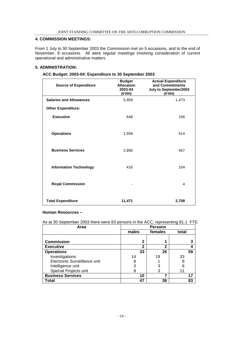#### **4. COMMISSION MEETINGS:**

From 1 July to 30 September 2003 the Commission met on 5 occasions, and to the end of November, 9 occasions. All were regular meetings involving consideration of current operational and administrative matters.

#### **5. ADMINISTRATION:**

| <b>Source of Expenditure</b>   | <b>Budget</b><br><b>Allocation</b><br>2003-04<br>(\$'000) | <b>Actual Expenditure</b><br>and Commitments<br>July to September2003<br>(\$000) |
|--------------------------------|-----------------------------------------------------------|----------------------------------------------------------------------------------|
| <b>Salaries and Allowances</b> | 5,959                                                     | 1,473                                                                            |
| <b>Other Expenditure:</b>      |                                                           |                                                                                  |
| <b>Executive</b>               | 648                                                       | 156                                                                              |
|                                |                                                           |                                                                                  |
| <b>Operations</b>              | 1,558                                                     | 514                                                                              |
|                                |                                                           |                                                                                  |
| <b>Business Services</b>       | 2,890                                                     | 457                                                                              |
|                                |                                                           |                                                                                  |
| <b>Information Technology</b>  | 416                                                       | 104                                                                              |
|                                |                                                           |                                                                                  |
| <b>Royal Commission</b>        |                                                           | 4                                                                                |
|                                |                                                           |                                                                                  |
| <b>Total Expenditure</b>       | 11,471                                                    | 2,708                                                                            |

#### **ACC Budget: 2003-04: Expenditure to 30 September 2003**

#### **Human Resources –**

As at 30 September 2003 there were 83 persons in the ACC, representing 81.1 FTE.

| Area                         | <b>Persons</b> |              |       |  |  |
|------------------------------|----------------|--------------|-------|--|--|
|                              | males          | females      | total |  |  |
|                              |                |              |       |  |  |
| <b>Commission</b>            | 2              |              |       |  |  |
| <b>Executive</b>             | 2              | $\mathbf{2}$ |       |  |  |
| <b>Operations</b>            | 33             | 26           | 59    |  |  |
| Investigations               | 14             | 19           | 33    |  |  |
| Electronic Surveillance unit |                |              | 9     |  |  |
| Intelligence unit            | 3              | 3            | 6     |  |  |
| Special Projects unit        |                | 3            |       |  |  |
| <b>Business Services</b>     | 10             | 7            | 17    |  |  |
| Total                        | 47             | 36           | 83    |  |  |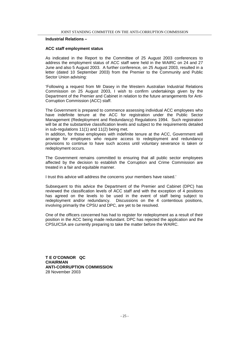#### **Industrial Relations –**

#### **ACC staff employment status**

As indicated in the Report to the Committee of 25 August 2003 conferences to address the employment status of ACC staff were held in the WAIRC on 24 and 27 June and also 5 August 2003. A further conference, on 25 August 2003, resulted in a letter (dated 10 September 2003) from the Premier to the Community and Public Sector Union advising:

'Following a request from Mr Dasey in the Western Australian Industrial Relations Commission on 25 August 2003, I wish to confirm undertakings given by the Department of the Premier and Cabinet in relation to the future arrangements for Anti-Corruption Commission (ACC) staff.

The Government is prepared to commence assessing individual ACC employees who have indefinite tenure at the ACC for registration under the Public Sector Management (Redeployment and Redundancy) Regulations 1994. Such registration will be at the substantive classification levels and subject to the requirements detailed in sub-regulations 11(1) and 11(2) being met.

In addition, for those employees with indefinite tenure at the ACC, Government will arrange for employees who require access to redeployment and redundancy provisions to continue to have such access until voluntary severance is taken or redeployment occurs.

The Government remains committed to ensuring that all public sector employees affected by the decision to establish the Corruption and Crime Commission are treated in a fair and equitable manner.

I trust this advice will address the concerns your members have raised.'

Subsequent to this advice the Department of the Premier and Cabinet (DPC) has reviewed the classification levels of ACC staff and with the exception of 4 positions has agreed on the levels to be used in the event of staff being subject to redeployment and/or redundancy. Discussions on the 4 contentious positions, involving primarily the CPSU and DPC, are yet to be resolved.

One of the officers concerned has had to register for redeployment as a result of their position in the ACC being made redundant. DPC has rejected the application and the CPSU/CSA are currently preparing to take the matter before the WAIRC.

**T E O'CONNOR QC CHAIRMAN ANTI-CORRUPTION COMMISSION** 28 November 2003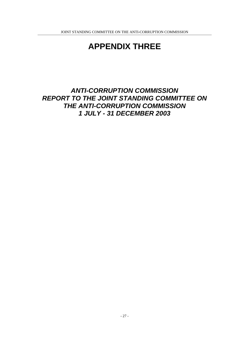## **APPENDIX THREE**

## **ANTI-CORRUPTION COMMISSION REPORT TO THE JOINT STANDING COMMITTEE ON THE ANTI-CORRUPTION COMMISSION 1 JULY - 31 DECEMBER 2003**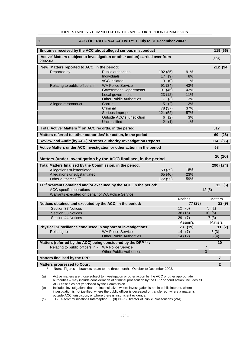| 1.<br>ACC OPERATIONAL ACTIVITY: 1 July to 31 December 2003 *                             |                                 |          |                          |                |  |  |
|------------------------------------------------------------------------------------------|---------------------------------|----------|--------------------------|----------------|--|--|
| Enquiries received by the ACC about alleged serious misconduct<br>119 (66)               |                                 |          |                          |                |  |  |
| 'Active' Matters (subject to investigation or other action) carried over from<br>2002-03 |                                 |          |                          | 305            |  |  |
| 'New' Matters reported to ACC, in the period:                                            |                                 |          |                          | 212 (94)       |  |  |
| Reported by -                                                                            | Public authorities              | 192 (85) | 91%                      |                |  |  |
|                                                                                          | Individuals                     | 17(9)    | 8%                       |                |  |  |
|                                                                                          | <b>ACC</b> initiated            | 3(0)     | 1%                       |                |  |  |
| Relating to public officers in -                                                         | <b>WA Police Service</b>        | 91 (34)  | 43%                      |                |  |  |
|                                                                                          | <b>Government Departments</b>   | 91 (45)  | 43%                      |                |  |  |
|                                                                                          | Local government                | 23(12)   | 11%                      |                |  |  |
|                                                                                          | <b>Other Public Authorities</b> | 7(3)     | 3%                       |                |  |  |
| Alleged misconduct -                                                                     | Corrupt                         | 5<br>(2) | 2%                       |                |  |  |
|                                                                                          | Criminal                        | 78 (37)  | 37%                      |                |  |  |
|                                                                                          | Serious Improper                | 121 (52) | 57%                      |                |  |  |
|                                                                                          | Outside ACC's jurisdiction      | 6(2)     | 3%                       |                |  |  |
|                                                                                          | Unclassified                    | 2(1)     | 1%                       |                |  |  |
| 'Total Active' Matters (a) on ACC records, in the period                                 |                                 |          |                          | 517            |  |  |
| Matters referred to 'other authorities' for action, in the period                        |                                 |          |                          | (28)<br>60     |  |  |
| Review and Audit (by ACC) of 'other authority' Investigation Reports                     |                                 |          |                          | 114<br>(86)    |  |  |
| Active Matters under ACC investigation or other action, in the period                    |                                 |          |                          | 68             |  |  |
| Matters (under investigation by the ACC) finalised, in the period                        |                                 |          |                          | 26 (16)        |  |  |
| Total Matters finalised by the Commission, in the period:                                |                                 |          |                          | 290 (174)      |  |  |
| Allegations substantiated                                                                |                                 | 53 (39)  | 18%                      |                |  |  |
| Allegations unsubstantiated                                                              |                                 | 65 (40)  | 23%                      |                |  |  |
| Other outcomes <sup>(b)</sup>                                                            |                                 | 172 (95) | 59%                      |                |  |  |
| $T1^{(c)}$ Warrants obtained and/or executed by the ACC, in the period:                  |                                 |          |                          | 12(5)          |  |  |
| ACC-specific operations                                                                  |                                 |          |                          | 12(5)          |  |  |
| Warrants executed on behalf of WA Police Service                                         |                                 |          |                          |                |  |  |
|                                                                                          |                                 |          | Notices                  | <b>Matters</b> |  |  |
| Notices obtained and executed by the ACC, in the period:                                 |                                 |          | 77 (28)                  | 22(9)          |  |  |
| Section 37 Notices                                                                       |                                 |          | $12 \overline{ }$<br>(6) | 5(1)           |  |  |
| Section 38 Notices                                                                       |                                 |          | 36(15)                   | 10(5)          |  |  |
| Section 44 Notices                                                                       |                                 |          | 29<br>(7)                | 7(3)           |  |  |
|                                                                                          |                                 |          | Assign's                 | Matters        |  |  |
| Physical Surveillance conducted in support of investigations:                            |                                 |          | 28 (19)                  | 11(7)          |  |  |
| Relating to -                                                                            | <b>WA Police Service</b>        |          | 14(7)                    | 5(3)           |  |  |
|                                                                                          | <b>Other Public Authorities</b> |          | 14(12)                   | 6(4)           |  |  |
| Matters (referred by the ACC) being considered by the DPP $^{(d)}$ :                     |                                 |          |                          | 10             |  |  |
| Relating to public officers in -                                                         | <b>WA Police Service</b>        |          |                          | 7              |  |  |
|                                                                                          | <b>Other Public Authorities</b> |          |                          | 3              |  |  |
| Matters finalised by the DPP                                                             |                                 |          |                          | $\overline{7}$ |  |  |
| <b>Matters progressed to Court</b>                                                       |                                 |          |                          | $\overline{2}$ |  |  |

#### JOINT STANDING COMMITTEE ON THE ANTI-CORRUPTION COMMISSION

 **\* Note**: Figures in brackets relate to the three months, October to December 2003.

(a) Active matters are those subject to investigation or other action by the ACC or other appropriate authorities – may include consideration of criminal prosecution by the DPP or court action; includes all ACC case files not yet closed by the Commission.

(b) Includes investigations that are inconclusive, where investigation is not in public interest, where investigation is not justified, where the public officer is deceased or transferred, where a matter is outside ACC jurisdiction, or where there is insufficient evidence.

(c) TI - Telecommunications Interception. (d) DPP - Director of Public Prosecutions (WA).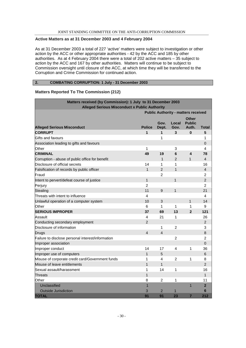#### **Active Matters as at 31 December 2003 and 4 February 2004**

As at 31 December 2003 a total of 227 'active' matters were subject to investigation or other action by the ACC or other appropriate authorities - 42 by the ACC and 185 by other authorities. As at 4 February 2004 there were a total of 202 active matters – 35 subject to action by the ACC and 167 by other authorities. Matters will continue to be subject to Commission oversight until closure of the ACC, at which time they will be transferred to the Corruption and Crime Commission for continued action.

#### **2. COMBATING CORRUPTION: 1 July - 31 December 2003**

#### **Matters Reported To The Commission (212)**

| Matters received (by Commission): 1 July to 31 December 2003 |                |                |                 |                                            |                |
|--------------------------------------------------------------|----------------|----------------|-----------------|--------------------------------------------|----------------|
| <b>Alleged Serious Misconduct x Public Authority</b>         |                |                |                 |                                            |                |
|                                                              |                |                |                 | <b>Public Authority - matters received</b> |                |
| <b>Alleged Serious Misconduct</b>                            | <b>Police</b>  | Gov.<br>Dept.  | Local<br>Gov.   | <b>Other</b><br><b>Public</b><br>Auth.     | <b>Total</b>   |
| <b>CORRUPT</b>                                               | 1              | 1              | 3               | $\bf{0}$                                   | 5              |
| Gifts and favours                                            |                | 1              |                 |                                            | 1              |
| Association leading to gifts and favours                     |                |                |                 |                                            | 0              |
| Other                                                        | 1              |                | 3               |                                            | 4              |
| <b>CRIMINAL</b>                                              | 49             | 19             | $6\phantom{1}6$ | $\overline{\mathbf{4}}$                    | 78             |
| Corruption - abuse of public office for benefit              |                | 1              | 2               | $\mathbf{1}$                               | 4              |
| Disclosure of official secrets                               | 14             | 1              | 1               |                                            | 16             |
| Falsification of records by public officer                   | $\mathbf{1}$   | $\overline{2}$ | $\mathbf{1}$    |                                            | $\overline{4}$ |
| Fraud                                                        |                | $\overline{2}$ |                 |                                            | $\overline{c}$ |
| Intent to pervert/defeat course of justice                   | 1              |                | $\mathbf{1}$    |                                            | $\overline{2}$ |
| Perjury                                                      | $\overline{c}$ |                |                 |                                            | $\overline{c}$ |
| <b>Stealing</b>                                              | 11             | 9              | $\mathbf{1}$    |                                            | 21             |
| Threats with intent to influence                             | 4              |                |                 |                                            | 4              |
| Unlawful operation of a computer system                      | 10             | 3              |                 | $\mathbf{1}$                               | 14             |
| Other                                                        | 6              | 1              | 1               | $\mathbf 1$                                | 9              |
| <b>SERIOUS IMPROPER</b>                                      | 37             | 69             | 13              | $\overline{2}$                             | 121            |
| Assault                                                      | 4              | 21             | 1               |                                            | 26             |
| Conducting secondary employment                              | $\overline{2}$ |                |                 |                                            | $\overline{2}$ |
| Disclosure of information                                    |                | 1              | $\overline{2}$  |                                            | 3              |
| <b>Drugs</b>                                                 | $\overline{4}$ | $\overline{4}$ |                 |                                            | 8              |
| Failure to disclose personal interest/information            |                |                | 2               |                                            | 2              |
| Improper association                                         |                |                |                 |                                            | $\overline{0}$ |
| Improper conduct                                             | 14             | 17             | 4               | 1                                          | 36             |
| Improper use of computers                                    | $\mathbf{1}$   | 5              |                 |                                            | 6              |
| Misuse of corporate credit card/Government funds             | 1              | 4              | $\overline{c}$  | $\mathbf{1}$                               | 8              |
| Misuse of leave entitlements                                 | 1              | $\mathbf{1}$   |                 |                                            | $\overline{2}$ |
| Sexual assault/harassment                                    | 1              | 14             | 1               |                                            | 16             |
| Threats                                                      | 1              |                |                 |                                            | $\mathbf{1}$   |
| Other                                                        | 8              | $\overline{c}$ | $\mathbf{1}$    |                                            | 11             |
| Unclassified                                                 | 1              |                |                 | $\overline{1}$                             | $\overline{2}$ |
| <b>Outside Jurisdiction</b>                                  | 3              | $\overline{2}$ | 1               |                                            | 6              |
| <b>TOTAL</b>                                                 | 91             | 91             | 23              | $\overline{7}$                             | 212            |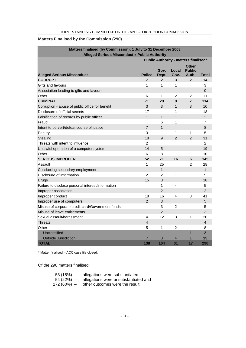#### **Matters Finalised by the Commission (290)**

| Matters finalised (by Commission): 1 July to 31 December 2003<br><b>Alleged Serious Misconduct x Public Authority</b> |                         |                |                |                                              |                |  |
|-----------------------------------------------------------------------------------------------------------------------|-------------------------|----------------|----------------|----------------------------------------------|----------------|--|
|                                                                                                                       |                         |                |                | <b>Public Authority - matters finalised*</b> |                |  |
| <b>Alleged Serious Misconduct</b>                                                                                     | <b>Police</b>           | Gov.<br>Dept.  | Local<br>Gov.  | <b>Other</b><br><b>Public</b><br>Auth.       | Total          |  |
| <b>CORRUPT</b>                                                                                                        | $\overline{7}$          | $\mathbf{2}$   | 3              | $\mathbf{2}$                                 | 14             |  |
| Gifts and favours                                                                                                     | 1                       | 1              | 1              |                                              | 3              |  |
| Association leading to gifts and favours                                                                              |                         |                |                |                                              | 0              |  |
| Other                                                                                                                 | 6                       | 1              | $\overline{2}$ | $\overline{2}$                               | 11             |  |
| <b>CRIMINAL</b>                                                                                                       | 71                      | 28             | 8              | $\overline{7}$                               | 114            |  |
| Corruption - abuse of public office for benefit                                                                       | 3                       | 3              | $\mathbf{1}$   | 3                                            | 10             |  |
| Disclosure of official secrets                                                                                        | 17                      |                | 1              |                                              | 18             |  |
| Falsification of records by public officer                                                                            | $\mathbf{1}$            | $\mathbf{1}$   | $\mathbf{1}$   |                                              | 3              |  |
| Fraud                                                                                                                 |                         | 6              | 1              |                                              | 7              |  |
| Intent to pervert/defeat course of justice                                                                            | $\overline{7}$          | $\overline{1}$ |                |                                              | 8              |  |
| Perjury                                                                                                               | 3                       |                | 1              | 1                                            | 5              |  |
| <b>Stealing</b>                                                                                                       | 18                      | 9              | $\overline{2}$ | $\overline{2}$                               | 31             |  |
| Threats with intent to influence                                                                                      | $\overline{2}$          |                |                |                                              | $\overline{2}$ |  |
| Unlawful operation of a computer system                                                                               | 14                      | 5              |                |                                              | 19             |  |
| Other                                                                                                                 | 6                       | 3              | 1              |                                              | 10             |  |
| <b>SERIOUS IMPROPER</b>                                                                                               | 52                      | 71             | 16             | 6                                            | 145            |  |
| Assault                                                                                                               | $\mathbf{1}$            | 25             |                | $\overline{2}$                               | 28             |  |
| Conducting secondary employment                                                                                       |                         | $\overline{1}$ |                |                                              | $\mathbf{1}$   |  |
| Disclosure of information                                                                                             | $\overline{2}$          | $\overline{2}$ | 1              |                                              | 5              |  |
| Drugs                                                                                                                 | 15                      | 3              |                |                                              | 18             |  |
| Failure to disclose personal interest/information                                                                     |                         | 1              | 4              |                                              | 5              |  |
| Improper association                                                                                                  |                         | $\overline{2}$ |                |                                              | $\overline{2}$ |  |
| Improper conduct                                                                                                      | 18                      | 16             | 4              | 3                                            | 41             |  |
| Improper use of computers                                                                                             | $\overline{2}$          | 3              |                |                                              | 5              |  |
| Misuse of corporate credit card/Government funds                                                                      |                         | 3              | 2              |                                              | 5              |  |
| Misuse of leave entitlements                                                                                          | $\mathbf{1}$            | $\overline{2}$ |                |                                              | 3              |  |
| Sexual assault/harassment                                                                                             | 4                       | 12             | 3              | 1                                            | 20             |  |
| Threats                                                                                                               | $\overline{\mathbf{4}}$ |                |                |                                              | 4              |  |
| Other                                                                                                                 | 5                       | 1              | $\overline{2}$ |                                              | 8              |  |
| Unclassified                                                                                                          | $\overline{1}$          |                |                | $\overline{1}$                               | $\overline{2}$ |  |
| <b>Outside Jurisdiction</b>                                                                                           | $\overline{7}$          | 3              | $\overline{4}$ | $\mathbf{1}$                                 | 15             |  |
| <b>TOTAL</b>                                                                                                          | 138                     | 104            | 31             | 17                                           | 290            |  |

\* Matter finalised – ACC case file closed.

Of the 290 matters finalised:

| $53(18%) -$  | allegations were substantiated       |
|--------------|--------------------------------------|
| $54(22%) -$  | allegations were unsubstantiated and |
| $172(60%) -$ | other outcomes were the result       |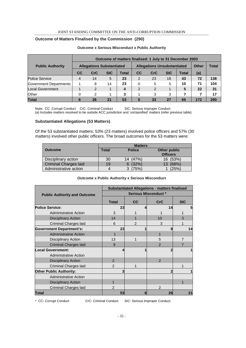#### **Outcome of Matters Finalised by the Commission (290)**

|                         | Outcome of matters finalised: 1 July to 31 December 2003 |               |            |                                    |               |            |            |              |       |     |
|-------------------------|----------------------------------------------------------|---------------|------------|------------------------------------|---------------|------------|------------|--------------|-------|-----|
| <b>Public Authority</b> | <b>Allegations Substantiated</b>                         |               |            | <b>Allegations Unsubstantiated</b> |               |            |            | <b>Other</b> | Total |     |
|                         | CC                                                       | CrC           | <b>SIC</b> | Total                              | CC            | <b>CrC</b> | <b>SIC</b> | Total        | (a)   |     |
| Police Service          | 4                                                        | 14            | 5          | 23                                 | 2             | 23         | 18         | 43           | 72    | 138 |
| Government Departments  |                                                          | 8             | 14         | 23                                 | 0             | 5          | 5          | 10           | 71    | 104 |
| <b>Local Government</b> |                                                          | $\mathcal{P}$ |            | 4                                  | $\mathcal{P}$ | 2          |            | 5            | 22    | 31  |
| Other                   | 0                                                        | $\mathcal{P}$ |            | 3                                  |               | 3          | 3          |              |       | 17  |
| <b>Total</b>            | 6                                                        | 26            | 21         | 53                                 | 5             | 33         | 27         | 65           | 172   | 290 |

#### **Outcome x Serious Misconduct x Public Authority**

Note: CC: Corrupt Conduct CrC: Criminal Conduct SIC: Serious Improper Conduct (a) Includes matters resolved to be outside ACC jurisdiction and 'unclassified' matters (refer previous table)

#### **Substantiated Allegations (53 Matters)**

Of the 53 substantiated matters; 53% (23 matters) involved police officers and 57% (30 matters) involved other public officers. The broad outcomes for the 53 matters were:

|                              | <b>Matters</b> |               |                 |  |  |  |  |
|------------------------------|----------------|---------------|-----------------|--|--|--|--|
| <b>Outcome</b>               | <b>Total</b>   | <b>Police</b> | Other public    |  |  |  |  |
|                              |                |               | <b>Officers</b> |  |  |  |  |
| Disciplinary action          | 30             | 14 (47%)      | 16 (53%)        |  |  |  |  |
| <b>Criminal Charges laid</b> | 19             | 6(32%)        | 13 (68%)        |  |  |  |  |
| Administrative action        |                | (75%)         | (25%)           |  |  |  |  |

#### **Outcome x Public Authority x Serious Misconduct**

|                                     | <b>Substantiated Allegations - matters finalised</b> |                |                |            |  |  |  |
|-------------------------------------|------------------------------------------------------|----------------|----------------|------------|--|--|--|
| <b>Public Authority and Outcome</b> | <b>Serious Misconduct*</b>                           |                |                |            |  |  |  |
|                                     | <b>Total</b>                                         | cc             | <b>CrC</b>     | <b>SIC</b> |  |  |  |
| <b>Police Service:</b>              | 23                                                   |                | 14             | 5          |  |  |  |
| <b>Administrative Action</b>        | 3                                                    |                |                |            |  |  |  |
| <b>Disciplinary Action</b>          | 14                                                   |                | 10             | 3          |  |  |  |
| Criminal Charges laid               | 6                                                    | $\mathfrak{p}$ | 3              |            |  |  |  |
| <b>Government Department's:</b>     | 23                                                   | 1              | 8              | 14         |  |  |  |
| <b>Administrative Action</b>        |                                                      |                |                |            |  |  |  |
| <b>Disciplinary Action</b>          | 13                                                   |                | 5              |            |  |  |  |
| <b>Criminal Charges laid</b>        | 9                                                    |                | 2              |            |  |  |  |
| <b>Local Government:</b>            |                                                      |                |                |            |  |  |  |
| <b>Administrative Action</b>        |                                                      |                |                |            |  |  |  |
| <b>Disciplinary Action</b>          | $\mathfrak{p}$                                       |                | $\mathfrak{p}$ |            |  |  |  |
| Criminal Charges laid               | $\mathfrak{p}$                                       |                |                |            |  |  |  |
| <b>Other Public Authority:</b>      | 3                                                    |                |                |            |  |  |  |
| <b>Administrative Action</b>        |                                                      |                |                |            |  |  |  |
| <b>Disciplinary Action</b>          |                                                      |                |                |            |  |  |  |
| Criminal Charges laid               | $\mathfrak{p}$                                       |                | $\mathfrak{p}$ |            |  |  |  |
| <b>Total</b>                        | 53                                                   | 6              | 26             | 21         |  |  |  |

\* CC: Corrupt Conduct CrC: Criminal Conduct SIC: Serious Improper Conduct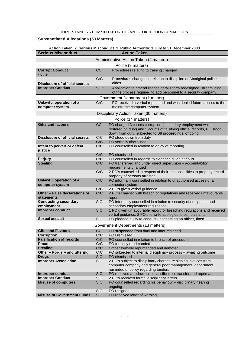#### **Substantiated Allegations (53 Matters)**

#### **Action Taken x Serious Misconduct x Public Authority: 1 July to 31 December 2003 Serious Misconduct Action Taken**

|                                                    |            | Administrative Action Taken (4 matters)                                                                                                                                                        |
|----------------------------------------------------|------------|------------------------------------------------------------------------------------------------------------------------------------------------------------------------------------------------|
|                                                    |            | Police (3 matters)                                                                                                                                                                             |
| <b>Corrupt Conduct</b><br>- other                  | CC         | Procedures relating to training changed                                                                                                                                                        |
| <b>Disclosure of official secrets</b>              | <b>CrC</b> | Procedures changed in relation to discipline of Aboriginal police<br>aides                                                                                                                     |
| <b>Improper Conduct</b>                            | $SIC^*$    | Application to amend licence details form redesigned, streamlining<br>of the process required to add personnel to a security company.                                                          |
|                                                    |            | Government Department (1 matter)                                                                                                                                                               |
| Unlawful operation of a                            | CrC        | PO received a verbal reprimand and was denied future access to the                                                                                                                             |
| computer system                                    |            | mainframe computer system                                                                                                                                                                      |
|                                                    |            | Disciplinary Action Taken (30 matters)                                                                                                                                                         |
|                                                    |            |                                                                                                                                                                                                |
|                                                    |            | Police (14 matters)                                                                                                                                                                            |
| <b>Gifts and favours</b>                           | CC         | PO charged 3 counts corruption (secondary employment whilst<br>rostered on duty) and 5 counts of falsifying official records, PO stood<br>down from duty, subjected to S8 proceedings, ongoing |
| <b>Disclosure of official secrets</b>              | <b>CrC</b> | PO stood down from duty                                                                                                                                                                        |
|                                                    | CrC        | PO verbally disciplined                                                                                                                                                                        |
| Intent to pervert or defeat<br>justice             | CrC        | PO counselled in relation to delay of reporting                                                                                                                                                |
|                                                    | <b>CrC</b> | PO dismissed                                                                                                                                                                                   |
| <b>Perjury</b>                                     | <b>CrC</b> | PO counselled in regards to evidence given at court                                                                                                                                            |
| <b>Stealing</b>                                    | CrC        | PO transferred and under direct supervision - accountability                                                                                                                                   |
|                                                    |            | requirements changed                                                                                                                                                                           |
|                                                    | <b>CrC</b> | 2 PO's counselled in respect of their responsibilities to properly record                                                                                                                      |
|                                                    |            | property of persons arrested                                                                                                                                                                   |
| Unlawful operation of a<br>computer system         | <b>CrC</b> | PO informally counselled in relation to unauthorised access of a<br>computer system                                                                                                            |
|                                                    | CrC        | 2 PO's given verbal guidance                                                                                                                                                                   |
| Other - False declarations or<br><b>statements</b> | CrC        | 2 PO's charged with breach of regulations and received unfavourable<br>reports                                                                                                                 |
| <b>Conducting secondary</b><br>employment          | <b>SIC</b> | PO informally counselled in relation to security of equipment and<br>secondary employment regulations                                                                                          |
| Improper conduct                                   | <b>SIC</b> | 1 PO given unfavourable report for breaching regulations and received<br>verbal guidance, 2 PO's to write apologies to complainants                                                            |
| <b>Sexual assault</b>                              | <b>SIC</b> | PO pleaded guilty to conduct unbecoming an officer, fined                                                                                                                                      |
|                                                    |            | Government Departments (13 matters)                                                                                                                                                            |
| <b>Gifts and Favours</b>                           | <b>CC</b>  | PO suspended from duty and later resigned                                                                                                                                                      |
| <b>Corruption</b>                                  | CrC        | PO Dismissed                                                                                                                                                                                   |
| <b>Falsification of records</b>                    | <b>CrC</b> | PO counselled in relation to breach of procedure                                                                                                                                               |
| <b>Fraud</b><br><b>Stealing</b>                    | CrC<br>CrC | PO formally reprimanded<br>Officer formally reprimanded and demoted                                                                                                                            |
| Other - Forgery and uttering                       | CrC        | PO subjected to internal disciplinary process - awaiting outcome                                                                                                                               |
| <b>Drugs</b>                                       | <b>SIC</b> | PO dismissed                                                                                                                                                                                   |
| <b>Improper Association</b>                        | <b>SIC</b> | 2 PO's subject to disciplinary charges re signing invoices from<br>computer company and general poor management, department                                                                    |
|                                                    |            | reminded of policy regarding tenders                                                                                                                                                           |
| <b>Improper conduct</b>                            | <b>SIC</b> | PO received a reduction in classification, transfer and reprimand                                                                                                                              |
| <b>Improper Conduct</b>                            | <b>SIC</b> | 2 PO's received formal disciplinary letters                                                                                                                                                    |
| <b>Misuse of computers</b>                         | <b>SIC</b> | PO counselled regarding his behaviour - disciplinary hearing<br>ongoing                                                                                                                        |
|                                                    | <b>SIC</b> | PO resigned                                                                                                                                                                                    |
| <b>Misuse of Government Funds</b>                  | <b>SIC</b> | PO received letter of warning                                                                                                                                                                  |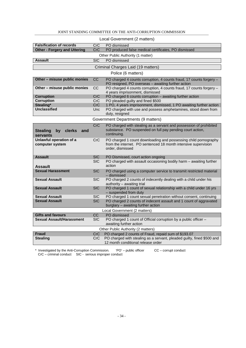| Local Government (2 matters)                                                                                                                                                  |                                                            |                                                                                                                                                                                                                                                                                                                                                                                                                                                                                                                                                                                                                                                                                                                                                                              |  |
|-------------------------------------------------------------------------------------------------------------------------------------------------------------------------------|------------------------------------------------------------|------------------------------------------------------------------------------------------------------------------------------------------------------------------------------------------------------------------------------------------------------------------------------------------------------------------------------------------------------------------------------------------------------------------------------------------------------------------------------------------------------------------------------------------------------------------------------------------------------------------------------------------------------------------------------------------------------------------------------------------------------------------------------|--|
| <b>Falsification of records</b>                                                                                                                                               | CrC                                                        | PO dismissed                                                                                                                                                                                                                                                                                                                                                                                                                                                                                                                                                                                                                                                                                                                                                                 |  |
| <b>Other - Forgery and Uttering</b>                                                                                                                                           | <b>CrC</b>                                                 | PO produced false medical certificates, PO dismissed                                                                                                                                                                                                                                                                                                                                                                                                                                                                                                                                                                                                                                                                                                                         |  |
|                                                                                                                                                                               |                                                            | Other Public Authority (1 matter)                                                                                                                                                                                                                                                                                                                                                                                                                                                                                                                                                                                                                                                                                                                                            |  |
| <b>Assault</b>                                                                                                                                                                | $\overline{\text{SIC}}$                                    | PO dismissed                                                                                                                                                                                                                                                                                                                                                                                                                                                                                                                                                                                                                                                                                                                                                                 |  |
|                                                                                                                                                                               |                                                            | Criminal Charges Laid (19 matters)                                                                                                                                                                                                                                                                                                                                                                                                                                                                                                                                                                                                                                                                                                                                           |  |
|                                                                                                                                                                               |                                                            | Police (6 matters)                                                                                                                                                                                                                                                                                                                                                                                                                                                                                                                                                                                                                                                                                                                                                           |  |
|                                                                                                                                                                               | $\overline{cc}$                                            |                                                                                                                                                                                                                                                                                                                                                                                                                                                                                                                                                                                                                                                                                                                                                                              |  |
| Other - misuse public monies                                                                                                                                                  |                                                            | PO charged 4 counts corruption, 4 counts fraud, 17 counts forgery -<br>PO resigned, PO overseas - awaiting further action                                                                                                                                                                                                                                                                                                                                                                                                                                                                                                                                                                                                                                                    |  |
| Other - misuse public monies                                                                                                                                                  | <b>CC</b>                                                  | PO charged 4 counts corruption, 4 counts fraud, 17 counts forgery -                                                                                                                                                                                                                                                                                                                                                                                                                                                                                                                                                                                                                                                                                                          |  |
|                                                                                                                                                                               |                                                            | 4 years imprisonment, dismissed                                                                                                                                                                                                                                                                                                                                                                                                                                                                                                                                                                                                                                                                                                                                              |  |
| <b>Corruption</b>                                                                                                                                                             | CrC                                                        | PO charged 6 counts corruption - awaiting further action                                                                                                                                                                                                                                                                                                                                                                                                                                                                                                                                                                                                                                                                                                                     |  |
| <b>Corruption</b>                                                                                                                                                             | CrC                                                        | PO pleaded guilty and fined \$500                                                                                                                                                                                                                                                                                                                                                                                                                                                                                                                                                                                                                                                                                                                                            |  |
| Stealing*                                                                                                                                                                     | CrC                                                        | 1 PO, 4 years imprisonment, dismissed, 1 PO awaiting further action                                                                                                                                                                                                                                                                                                                                                                                                                                                                                                                                                                                                                                                                                                          |  |
| <b>Unclassified</b>                                                                                                                                                           | Unc                                                        | PO charged with use and possess amphetamines, stood down from                                                                                                                                                                                                                                                                                                                                                                                                                                                                                                                                                                                                                                                                                                                |  |
|                                                                                                                                                                               |                                                            | duty, resigned                                                                                                                                                                                                                                                                                                                                                                                                                                                                                                                                                                                                                                                                                                                                                               |  |
|                                                                                                                                                                               |                                                            | Government Departments (9 matters)                                                                                                                                                                                                                                                                                                                                                                                                                                                                                                                                                                                                                                                                                                                                           |  |
|                                                                                                                                                                               | CrC                                                        | PO charged with stealing as a servant and possession of prohibited                                                                                                                                                                                                                                                                                                                                                                                                                                                                                                                                                                                                                                                                                                           |  |
| <b>Stealing</b><br><b>clerks</b><br>by<br>and                                                                                                                                 |                                                            | substance. PO suspended on full pay pending court action,                                                                                                                                                                                                                                                                                                                                                                                                                                                                                                                                                                                                                                                                                                                    |  |
| servants                                                                                                                                                                      |                                                            | continuing.                                                                                                                                                                                                                                                                                                                                                                                                                                                                                                                                                                                                                                                                                                                                                                  |  |
| Unlawful operation of a                                                                                                                                                       | CrC                                                        | PO charged 1 count downloading and possessing child pornography                                                                                                                                                                                                                                                                                                                                                                                                                                                                                                                                                                                                                                                                                                              |  |
| computer system                                                                                                                                                               |                                                            | from the internet. PO sentenced 18 month intensive supervision<br>order, dismissed                                                                                                                                                                                                                                                                                                                                                                                                                                                                                                                                                                                                                                                                                           |  |
|                                                                                                                                                                               |                                                            |                                                                                                                                                                                                                                                                                                                                                                                                                                                                                                                                                                                                                                                                                                                                                                              |  |
| <b>Assault</b>                                                                                                                                                                | <b>SIC</b>                                                 | PO Dismissed, court action ongoing                                                                                                                                                                                                                                                                                                                                                                                                                                                                                                                                                                                                                                                                                                                                           |  |
|                                                                                                                                                                               | <b>SIC</b>                                                 |                                                                                                                                                                                                                                                                                                                                                                                                                                                                                                                                                                                                                                                                                                                                                                              |  |
| Assault                                                                                                                                                                       |                                                            |                                                                                                                                                                                                                                                                                                                                                                                                                                                                                                                                                                                                                                                                                                                                                                              |  |
|                                                                                                                                                                               |                                                            |                                                                                                                                                                                                                                                                                                                                                                                                                                                                                                                                                                                                                                                                                                                                                                              |  |
|                                                                                                                                                                               |                                                            |                                                                                                                                                                                                                                                                                                                                                                                                                                                                                                                                                                                                                                                                                                                                                                              |  |
|                                                                                                                                                                               |                                                            |                                                                                                                                                                                                                                                                                                                                                                                                                                                                                                                                                                                                                                                                                                                                                                              |  |
| <b>Sexual Assault</b>                                                                                                                                                         | <b>SIC</b>                                                 |                                                                                                                                                                                                                                                                                                                                                                                                                                                                                                                                                                                                                                                                                                                                                                              |  |
|                                                                                                                                                                               |                                                            | - suspended from duty                                                                                                                                                                                                                                                                                                                                                                                                                                                                                                                                                                                                                                                                                                                                                        |  |
| <b>Sexual Assault</b>                                                                                                                                                         | SIC.                                                       | PO charged 1 count sexual penetration without consent, continuing                                                                                                                                                                                                                                                                                                                                                                                                                                                                                                                                                                                                                                                                                                            |  |
|                                                                                                                                                                               | <b>SIC</b>                                                 |                                                                                                                                                                                                                                                                                                                                                                                                                                                                                                                                                                                                                                                                                                                                                                              |  |
|                                                                                                                                                                               |                                                            |                                                                                                                                                                                                                                                                                                                                                                                                                                                                                                                                                                                                                                                                                                                                                                              |  |
|                                                                                                                                                                               |                                                            |                                                                                                                                                                                                                                                                                                                                                                                                                                                                                                                                                                                                                                                                                                                                                                              |  |
|                                                                                                                                                                               |                                                            |                                                                                                                                                                                                                                                                                                                                                                                                                                                                                                                                                                                                                                                                                                                                                                              |  |
|                                                                                                                                                                               |                                                            |                                                                                                                                                                                                                                                                                                                                                                                                                                                                                                                                                                                                                                                                                                                                                                              |  |
|                                                                                                                                                                               |                                                            |                                                                                                                                                                                                                                                                                                                                                                                                                                                                                                                                                                                                                                                                                                                                                                              |  |
|                                                                                                                                                                               |                                                            |                                                                                                                                                                                                                                                                                                                                                                                                                                                                                                                                                                                                                                                                                                                                                                              |  |
|                                                                                                                                                                               | <b>CrC</b>                                                 |                                                                                                                                                                                                                                                                                                                                                                                                                                                                                                                                                                                                                                                                                                                                                                              |  |
|                                                                                                                                                                               |                                                            | 12 month conditional release order                                                                                                                                                                                                                                                                                                                                                                                                                                                                                                                                                                                                                                                                                                                                           |  |
| <b>Sexual Harassment</b><br><b>Sexual Assault</b><br><b>Sexual Assault</b><br><b>Gifts and favours</b><br><b>Sexual Assault/Harassment</b><br><b>Fraud</b><br><b>Stealing</b> | <b>SIC</b><br><b>SIC</b><br>CC<br><b>SIC</b><br><b>CrC</b> | PO charged with assault occasioning bodily harm - awaiting further<br>action<br>PO charged using a computer service to transmit restricted material<br>- dismissed<br>PO charged 2 counts of indecently dealing with a child under his<br>authority - awaiting trial<br>PO charged 1 count of sexual relationship with a child under 16 yrs<br>PO charged 2 counts of indecent assault and 1 count of aggravated<br>burglary - awaiting further action<br>Local Government (2 matters)<br>PO dismissed<br>PO charged 1 count of Official corruption by a public officer -<br>awaiting further action<br>Other Public Authority (2 matters)<br>PO charged 2 counts of Fraud, repaid sum of \$193.07<br>PO charged with stealing as a servant, pleaded guilty, fined \$500 and |  |

#### JOINT STANDING COMMITTEE ON THE ANTI-CORRUPTION COMMISSION

\* Investigated by the Anti-Corruption Commission. 'PO' – public officer CC – corrupt conduct CrC – criminal conduct SIC - serious improper conduct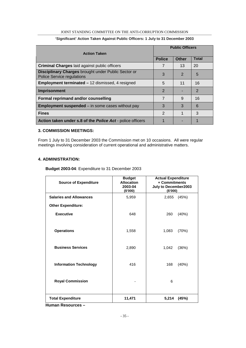#### JOINT STANDING COMMITTEE ON THE ANTI-CORRUPTION COMMISSION

|                                                                                          | <b>Public Officers</b> |                |                |  |  |
|------------------------------------------------------------------------------------------|------------------------|----------------|----------------|--|--|
| <b>Action Taken</b>                                                                      |                        |                |                |  |  |
|                                                                                          | <b>Police</b>          | <b>Other</b>   | <b>Total</b>   |  |  |
| <b>Criminal Charges laid against public officers</b>                                     | 7                      | 13             | 20             |  |  |
| Disciplinary Charges brought under Public Sector or<br><b>Police Service regulations</b> | 3                      | $\overline{2}$ | 5              |  |  |
| Employment terminated - 12 dismissed, 4 resigned                                         | 5                      | 11             | 16             |  |  |
| Imprisonment                                                                             | 2                      |                | $\overline{2}$ |  |  |
| Formal reprimand and/or counselling                                                      | 7                      | 9              | 16             |  |  |
| <b>Employment suspended</b> $-$ in some cases without pay                                | 3                      | 3              | 6              |  |  |
| <b>Fines</b>                                                                             | 2                      |                | 3              |  |  |
| Action taken under s.8 of the Police Act - police officers                               |                        |                |                |  |  |

#### **'Significant' Action Taken Against Public Officers: 1 July to 31 December 2003**

#### **3. COMMISSION MEETINGS:**

From 1 July to 31 December 2003 the Commission met on 10 occasions. All were regular meetings involving consideration of current operational and administrative matters.

#### **4. ADMINISTRATION:**

**Budget 2003-04**: Expenditure to 31 December 2003

| <b>Source of Expenditure</b>   | <b>Budget</b><br><b>Allocation</b><br>2003-04<br>(\$'000) | <b>Actual Expenditure</b><br>+ Commitments<br>July to December2003<br>(\$'000) |
|--------------------------------|-----------------------------------------------------------|--------------------------------------------------------------------------------|
| <b>Salaries and Allowances</b> | 5,959                                                     | (45%)<br>2,655                                                                 |
| <b>Other Expenditure:</b>      |                                                           |                                                                                |
| <b>Executive</b>               | 648                                                       | 260<br>(40%)                                                                   |
|                                |                                                           |                                                                                |
| <b>Operations</b>              | 1,558                                                     | 1,083<br>(70%)                                                                 |
|                                |                                                           |                                                                                |
| <b>Business Services</b>       | 2,890                                                     | 1,042<br>(36%)                                                                 |
|                                |                                                           |                                                                                |
| <b>Information Technology</b>  | 416                                                       | 168<br>(40%)                                                                   |
|                                |                                                           |                                                                                |
| <b>Royal Commission</b>        |                                                           | 6                                                                              |
|                                |                                                           |                                                                                |
| <b>Total Expenditure</b>       | 11,471                                                    | 5,214<br>(45%)                                                                 |

**Human Resources –**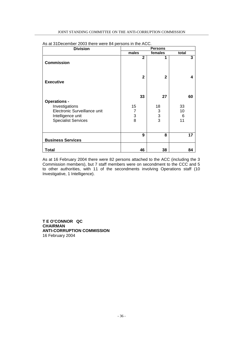| <b>Division</b>                                                                                                          | <b>Persons</b>          |                                                        |                           |
|--------------------------------------------------------------------------------------------------------------------------|-------------------------|--------------------------------------------------------|---------------------------|
|                                                                                                                          | males                   | females                                                | total                     |
| <b>Commission</b>                                                                                                        | $\mathbf{2}$            | 1                                                      | 3                         |
| <b>Executive</b>                                                                                                         | $\mathbf{2}$            | 2                                                      | 4                         |
| <b>Operations -</b><br>Investigations<br>Electronic Surveillance unit<br>Intelligence unit<br><b>Specialist Services</b> | 33<br>15<br>7<br>3<br>8 | 27<br>18<br>$\begin{array}{c} 3 \\ 3 \\ 3 \end{array}$ | 60<br>33<br>10<br>6<br>11 |
| <b>Business Services</b>                                                                                                 | 9                       | 8                                                      | 17                        |
| Total                                                                                                                    | 46                      | 38                                                     | 84                        |

As at 31December 2003 there were 84 persons in the ACC.

As at 16 February 2004 there were 82 persons attached to the ACC (including the 3 Commission members), but 7 staff members were on secondment to the CCC and 5 to other authorities, with 11 of the secondments involving Operations staff (10 Investigative, 1 Intelligence).

**T E O'CONNOR QC CHAIRMAN ANTI-CORRUPTION COMMISSION** 16 February 2004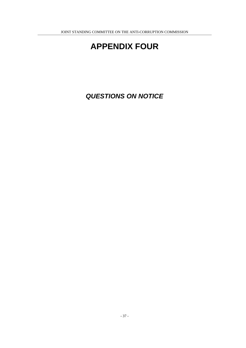## **APPENDIX FOUR**

**QUESTIONS ON NOTICE**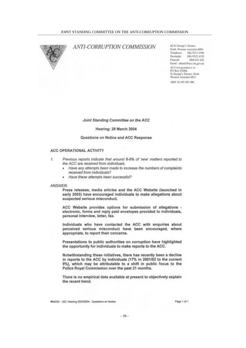

#### **ANTI-CORRUPTION COMMISSION**

66 St George's Terrace Perth, Western Australia 6000 Telephone:  $(08)92134300$ Facultuile: (08) 9322 4329 Freecall: 1800 653 622 Email: alimail@acc.wa.gov.au All Correspondence to: PO Bea 25068. St George's Terrace, Perth Western Australia 6831 ABN 18 449 403 096

Joint Standing Committee on the ACC

#### Hearing: 29 March 2004

#### Questions on Notice and ACC Response

#### ACC OPERATIONAL ACTIVITY

- $L$ Previous reports indicate that around 8-9% of 'new' matters reported to the ACC are received from individuals.
	- Have any attempts been made to increase the numbers of complaints ٠ received from individuals?
	- · Have these attempts been successful?

#### ANSWER:

Press releases, media articles and the ACC Website (launched in early 2003) have encouraged individuals to make allegations about suspected serious misconduct.

ACC Website provides options for submission of allegations electronic, forms and reply paid envelopes provided to individuals, personal interview, letter, fax.

Individuals who have contacted the ACC with enquiries about perceived serious misconduct have been encouraged, where appropriate, to report their concerns.

Presentations to public authorities on corruption have highlighted the opportunity for individuals to make reports to the ACC.

Notwithstanding these initiatives, there has recently been a decline in reports to the ACC by individuals (17% in 2001/02 to the current 9%), which may be attributable to a shift in public focus to the Police Royal Commission over the past 21 months.

There is no empirical data available at present to objectively explain the recent trend.

#64293 - JSC Hearing 29/3/2004 - Questions on Notice

Page 1 of 1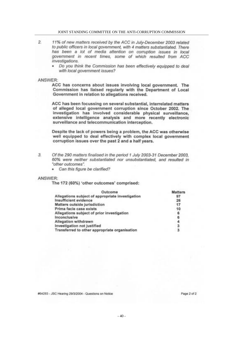- $\overline{2}$ 11% of new matters received by the ACC in July-December 2003 related to public officers in local government, with 4 matters substantiated. There has been a lot of media attention on corruption issues in local government in recent times, some of which resulted from ACC investigations.
	- . Do you think the Commission has been effectively equipped to deal with local government issues?

#### ANSWER:

ACC has concerns about issues involving local government. The Commission has liaised regularly with the Department of Local Government in relation to allegations received.

ACC has been focussing on several substantial, interrelated matters of alleged local government corruption since October 2002. The investigation has involved considerable physical surveillance, extensive intelligence analysis and more recently electronic surveillance and telecommunication interception.

Despite the lack of powers being a problem, the ACC was otherwise well equipped to deal effectively with complex local government corruption issues over the past 2 and a half years.

 $\mathcal{L}$ 

Of the 290 matters finalised in the period 1 July 2003-31 December 2003, 60% were neither substantiated nor unsubstantiated, and resulted in "other outcomes".

· Can this figure be clarified?

#### ANSWER:

The 172 (60%) 'other outcomes' comprised:

| Outcome                                          | <b>Matters</b> |
|--------------------------------------------------|----------------|
| Allegations subject of appropriate investigation | 97             |
| Insufficient evidence                            | 26             |
| Matters outside jurisdiction                     | 17             |
| Prima facie case exists                          | 10             |
| Allegations subject of prior investigation       | 6              |
| Inconclusive                                     |                |
| Allegation withdrawn                             |                |
| Investigation not justified                      | я              |
| Transferred to other appropriate organisation    |                |

#64293 - JSC Hearing 29/3/2004 - Questions on Notice

Page 2 of 2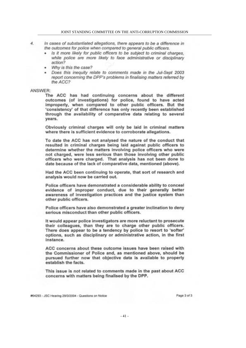- 4 In cases of substantiated allegations, there appears to be a difference in the outcomes for police when compared to general public officers.
	- Is it more likely for public officers to be subject to criminal charges. while police are more likely to face administrative or disciplinary action?
	- Why is this the case? ٠
	- Does this inequity relate to comments made in the Jul-Sept 2003 report concerning the DPP's problems in finalising matters referred by the ACC?

#### ANSWER:

The ACC has had continuing concerns about the different outcomes (of investigations) for police, found to have acted improperly, when compared to other public officers. But the 'consistency' of that difference has only recently been established through the availability of comparative data relating to several years.

Obviously criminal charges will only be laid in criminal matters where there is sufficient evidence to corroborate allegations.

To date the ACC has not analysed the nature of the conduct that resulted in criminal charges being laid against public officers to determine whether the matters involving police officers who were not charged, were less serious than those involving other public officers who were charged. That analysis has not been done to date because of the lack of comparative data, mentioned (above).

Had the ACC been continuing to operate, that sort of research and analysis would now be carried out.

Police officers have demonstrated a considerable ability to conceal evidence of improper conduct, due to their generally better awareness of investigation practices and the justice system than other public officers.

Police officers have also demonstrated a greater inclination to deny serious misconduct than other public officers.

It would appear police investigators are more reluctant to prosecute their colleagues, than they are to charge other public officers. There does appear to be a tendency by police to resort to 'softer' options, such as disciplinary or administrative action, in the first instance.

ACC concerns about these outcome issues have been raised with the Commissioner of Police and, as mentioned above, should be pursued further now that objective data is available to properly establish the facts.

This issue is not related to comments made in the past about ACC concerns with matters being finalised by the DPP.

#64293 - JSC Hearing 29/3/2004 - Questions on Notice

Page 3 of 3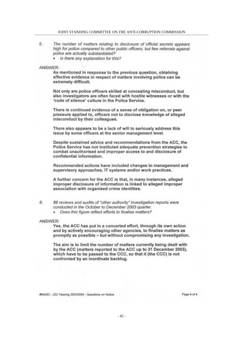#### JOINT STANDING COMMITTEE ON THE ANTI-CORRIPTION COMMISSION

- 5. The number of matters relating to disclosure of official secrets appears high for police compared to other public officers, but few referrals against police are actually substantiated?
	- · Is there any explanation for this?

#### ANSWFR:

As mentioned in response to the previous question, obtaining effective evidence in respect of matters involving police can be extremely difficult.

Not only are police officers skilled at concealing misconduct, but also investigators are often faced with hostile witnesses or with the 'code of silence' culture in the Police Service.

There is continued evidence of a sense of obligation on, or peer pressure applied to, officers not to disclose knowledge of alleged misconduct by their colleagues.

There also appears to be a lack of will to seriously address this issue by some officers at the senior management level.

Despite sustained advice and recommendations from the ACC, the Police Service has not instituted adequate prevention strategies to combat unauthorised and improper access to and disclosure of confidential information.

Recommended actions have included changes to management and supervisory approaches, IT systems and/or work practices.

A further concern for the ACC is that, in many instances, alleged improper disclosure of information is linked to alleged improper association with organised crime identities.

- 6. 86 reviews and audits of "other authority" investigation reports were conducted in the October to December 2003 quarter.
	- · Does this figure reflect efforts to finalise matters?

#### ANSWER:

Yes, the ACC has put in a concerted effort, through its own action and by actively encouraging other agencies, to finalise matters as promptly as possible - but without compromising any investigation.

The aim is to limit the number of matters currently being dealt with by the ACC (matters reported to the ACC up to 31 December 2003). which have to be passed to the CCC, so that it (the CCC) is not confronted by an inordinate backlog.

#64293 - JSC Hearing 29/3/2004 - Questions on Notice

Page 4 of 4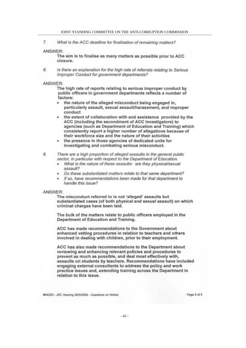$7.$ What is the ACC deadline for finalisation of remaining matters?

#### ANSWER:

The aim is to finalise as many matters as possible prior to ACC closure.

8. Is there an explanation for the high rate of referrals relating to Serious Improper Conduct for government departments?

#### ANSWER:

The high rate of reports relating to serious improper conduct by public officers in government departments reflects a number of factors:

- the nature of the alleged misconduct being engaged in, ٠ particularly assault, sexual assault/harassment, and improper conduct
- the extent of collaboration with and assistance provided by the ACC (including the secondment of ACC investigators) to agencies (such as Department of Education and Training) which consistently report a higher number of allegations because of their workforce size and the nature of their activities
- the presence in those agencies of dedicated units for investigating and combating serious misconduct.

9. There are a high proportion of alleged assaults in the general public sector, in particular with respect to the Department of Education.

- What is the nature of these assaults: are they physical/sexual assault?
- Do these substantiated matters relate to that same department?
- · If so, have recommendations been made for that department to handle this issue?

#### ANSWER:

The misconduct referred to is not 'alleged' assaults but substantiated cases (of both physical and sexual assault) on which criminal charges have been laid.

The bulk of the matters relate to public officers employed in the Department of Education and Training.

ACC has made recommendations to the Government about enhanced vetting procedures in relation to teachers and others involved in dealing with children, prior to their employment.

ACC has also made recommendations to the Department about reviewing and enhancing relevant policies and procedures to prevent as much as possible, and deal most effectively with. assaults on students by teachers. Recommendations have included engaging external consultants to address the policy and work practice issues and, extending training across the Department in relation to this issue.

#64293 - JSC Hearing 29/3/2004 - Questions on Nation

Page 5 of 5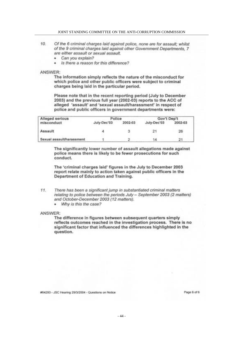#### JOINT STANDING COMMITTEE ON THE ANTI-CORRUPTION COMMISSION

- 10. Of the 6 criminal charges laid against police, none are for assault; whilst of the 9 criminal charges laid against other Government Departments, 7 are either assault or sexual assault.
	- · Can you explain?
	- Is there a reason for this difference? ÷

#### ANSWER:

The information simply reflects the nature of the misconduct for which police and other public officers were subject to criminal charges being laid in the particular period.

Please note that in the recent reporting period (July to December 2003) and the previous full year (2002-03) reports to the ACC of alleged 'assault' and 'sexual assault/harassment' in respect of police and public officers in government departments were:

| Alleged serious           | Police      |         | Gov't Dep't |         |
|---------------------------|-------------|---------|-------------|---------|
| misconduct                | July-Dec'03 | 2002-03 | July-Dec'03 | 2002-03 |
| Assault                   |             |         | $2^1$       | 26      |
| Sexual assault/harassment |             |         | 14          | 21      |

The significantly lower number of assault allegations made against police means there is likely to be fewer prosecutions for such conduct.

The 'criminal charges laid' figures in the July to December 2003 report relate mainly to action taken against public officers in the Department of Education and Training.

- $11.$ There has been a significant jump in substantiated criminal matters relating to police between the periods July - September 2003 (2 matters) and October-December 2003 (12 matters).
	- Why is this the case?

#### ANSWER:

The difference in figures between subsequent quarters simply reflects outcomes reached in the investigation process. There is no significant factor that influenced the differences highlighted in the question.

#64293 - JSC Hearing 29/3/2004 - Questions on Notice

Page 6 of 6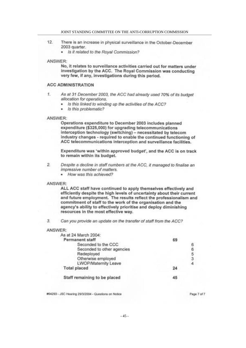#### JOINT STANDING COMMITTEE ON THE ANTI-CORRUPTION COMMISSION

- $12.$ There is an increase in physical surveillance in the October-December 2003 quarter.
	- · Is it related to the Royal Commission?

#### ANSWER:

No, it relates to surveillance activities carried out for matters under investigation by the ACC. The Royal Commission was conducting very few, if any, investigations during this period.

#### **ACC ADMINISTRATION**

- $\pm$ As at 31 December 2003, the ACC had already used 70% of its budget allocation for operations.
	- Is this linked to winding up the activities of the ACC?  $\bullet$
	- · Is this problematic?

#### ANSWER:

Operations expenditure to December 2003 includes planned expenditure (\$325,000) for upgrading telecommunications interception technology (switching) - necessitated by telecom industry changes - required to enable the continued functioning of ACC telecommunications interception and surveillance facilities.

Expenditure was 'within approved budget', and the ACC is on track to remain within its budget.

- Despite a decline in staff numbers at the ACC, it managed to finalise an  $2.$ impressive number of matters.
	- How was this achieved?  $\epsilon$

#### ANSWER:

ALL ACC staff have continued to apply themselves effectively and efficiently despite the high levels of uncertainty about their current and future employment. The results reflect the professionalism and commitment of staff to the work of the organisation and the agency's ability to effectively prioritise and deploy diminishing resources in the most effective way.

3. Can you provide an update on the transfer of staff from the ACC?

#### ANSWER:

| 69 |          |
|----|----------|
|    | 6        |
|    | 6        |
|    | 5        |
|    | 3        |
|    | $\Delta$ |
| 24 |          |
|    |          |
|    |          |

#64293 - JSC Hearing 29/3/2004 - Questions on Notice

Page 7 of 7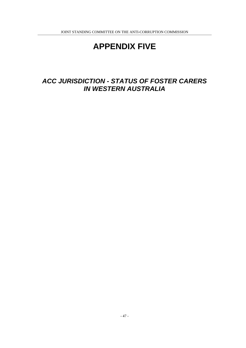## **APPENDIX FIVE**

## **ACC JURISDICTION - STATUS OF FOSTER CARERS IN WESTERN AUSTRALIA**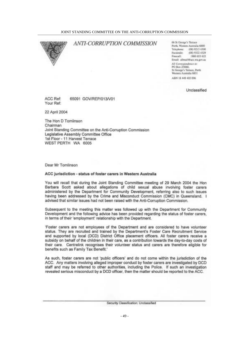

#### **ANTI-CORRUPTION COMMISSION**

66 St George's Terrace Perth, Western Australia 6000 Telephone: (08) 9213 4300 (08) 9322 4329 Faculmile: Freecall: 1900 653 622 Email: allma@@occ.wa.gov.au All Correspondence to: PO Box 25068. St George's Terrace, Perri-Western Australia 6831 ABN 18 449 403 096

Unclassified

ACC Ref: 65091 GOV/REP/013/V01 Your Ref:

22 April 2004

The Hon D Tomlinson Chairman Joint Standing Committee on the Anti-Corruption Commission Legislative Assembly Committee Office 1st Floor - 11 Harvest Terrace WEST PERTH WA 6005

Dear Mr Tomlinson

#### ACC jurisdiction - status of foster carers in Western Australia

You will recall that during the Joint Standing Committee meeting of 29 March 2004 the Hon Barbara Scott asked about allegations of child sexual abuse involving foster carers administered by the Department for Community Development, referring also to such issues having been addressed by the Crime and Misconduct Commission (CMC) in Queensland. I advised that similar issues had not been raised with the Anti-Corruption Commission.

Subsequent to the meeting this matter was followed up with the Department for Community Development and the following advice has been provided regarding the status of foster carers, in terms of their 'employment' relationship with the Department.

'Foster carers are not employees of the Department and are considered to have volunteer status. They are recruited and trained by the Department's Foster Care Recruitment Service and supported by local (DCD) District Office placement officers. All foster carers receive a subsidy on behalf of the children in their care, as a contribution towards the day-to-day costs of their care. Centrelink recognises their volunteer status and carers are therefore eligible for benefits such as Family Tax Benefit."

As such, foster carers are not 'public officers' and do not come within the jurisdiction of the ACC. Any matters involving alleged improper conduct by foster carers are investigated by DCD staff and may be referred to other authorities, including the Police. If such an investigation revealed serious misconduct by a DCD officer, then the matter should be reported to the ACC.